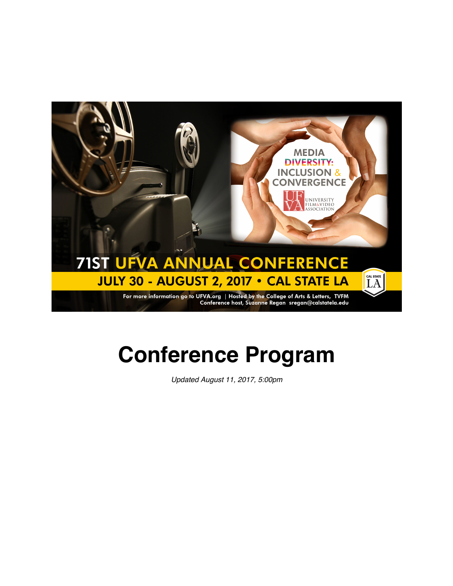

# **Conference Program**

*Updated August 11, 2017, 5:00pm*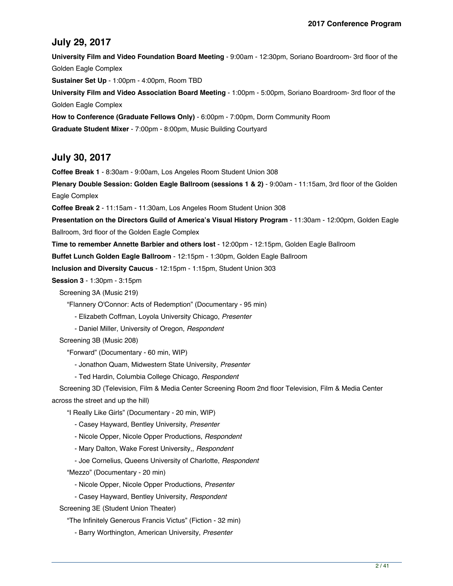## **July 29, 2017**

**University Film and Video Foundation Board Meeting** - 9:00am - 12:30pm, Soriano Boardroom- 3rd floor of the Golden Eagle Complex **Sustainer Set Up** - 1:00pm - 4:00pm, Room TBD **University Film and Video Association Board Meeting** - 1:00pm - 5:00pm, Soriano Boardroom- 3rd floor of the Golden Eagle Complex **How to Conference (Graduate Fellows Only)** - 6:00pm - 7:00pm, Dorm Community Room **Graduate Student Mixer** - 7:00pm - 8:00pm, Music Building Courtyard

## **July 30, 2017**

**Coffee Break 1** - 8:30am - 9:00am, Los Angeles Room Student Union 308

**Plenary Double Session: Golden Eagle Ballroom (sessions 1 & 2)** - 9:00am - 11:15am, 3rd floor of the Golden Eagle Complex

**Coffee Break 2** - 11:15am - 11:30am, Los Angeles Room Student Union 308

**Presentation on the Directors Guild of America's Visual History Program** - 11:30am - 12:00pm, Golden Eagle Ballroom, 3rd floor of the Golden Eagle Complex

**Time to remember Annette Barbier and others lost** - 12:00pm - 12:15pm, Golden Eagle Ballroom

**Buffet Lunch Golden Eagle Ballroom** - 12:15pm - 1:30pm, Golden Eagle Ballroom

**Inclusion and Diversity Caucus** - 12:15pm - 1:15pm, Student Union 303

**Session 3** - 1:30pm - 3:15pm

Screening 3A (Music 219)

"Flannery O'Connor: Acts of Redemption" (Documentary - 95 min)

- Elizabeth Coffman, Loyola University Chicago, *Presenter*
- Daniel Miller, University of Oregon, *Respondent*

Screening 3B (Music 208)

"Forward" (Documentary - 60 min, WIP)

- Jonathon Quam, Midwestern State University, *Presenter*

- Ted Hardin, Columbia College Chicago, *Respondent*

 Screening 3D (Television, Film & Media Center Screening Room 2nd floor Television, Film & Media Center across the street and up the hill)

- "I Really Like Girls" (Documentary 20 min, WIP)
	- Casey Hayward, Bentley University, *Presenter*
	- Nicole Opper, Nicole Opper Productions, *Respondent*
	- Mary Dalton, Wake Forest University,, *Respondent*
	- Joe Cornelius, Queens University of Charlotte, *Respondent*

"Mezzo" (Documentary - 20 min)

- Nicole Opper, Nicole Opper Productions, *Presenter*
- Casey Hayward, Bentley University, *Respondent*

Screening 3E (Student Union Theater)

"The Infinitely Generous Francis Victus" (Fiction - 32 min)

- Barry Worthington, American University, *Presenter*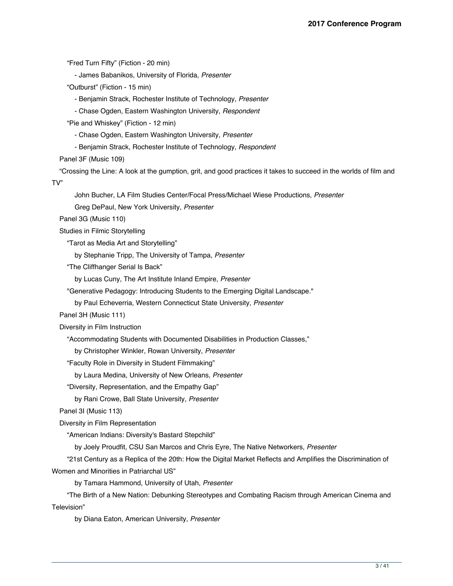"Fred Turn Fifty" (Fiction - 20 min)

- James Babanikos, University of Florida, *Presenter*

"Outburst" (Fiction - 15 min)

- Benjamin Strack, Rochester Institute of Technology, *Presenter*
- Chase Ogden, Eastern Washington University, *Respondent*

"Pie and Whiskey" (Fiction - 12 min)

- Chase Ogden, Eastern Washington University, *Presenter*
- Benjamin Strack, Rochester Institute of Technology, *Respondent*

Panel 3F (Music 109)

"Crossing the Line: A look at the gumption, grit, and good practices it takes to succeed in the worlds of film and

TV"

John Bucher, LA Film Studies Center/Focal Press/Michael Wiese Productions, *Presenter*

Greg DePaul, New York University, *Presenter*

Panel 3G (Music 110)

Studies in Filmic Storytelling

"Tarot as Media Art and Storytelling"

by Stephanie Tripp, The University of Tampa, *Presenter*

"The Cliffhanger Serial Is Back"

by Lucas Cuny, The Art Institute Inland Empire, *Presenter*

"Generative Pedagogy: Introducing Students to the Emerging Digital Landscape."

by Paul Echeverria, Western Connecticut State University, *Presenter*

Panel 3H (Music 111)

Diversity in Film Instruction

"Accommodating Students with Documented Disabilities in Production Classes,"

by Christopher Winkler, Rowan University, *Presenter*

"Faculty Role in Diversity in Student Filmmaking"

by Laura Medina, University of New Orleans, *Presenter*

"Diversity, Representation, and the Empathy Gap"

by Rani Crowe, Ball State University, *Presenter*

Panel 3I (Music 113)

Diversity in Film Representation

"American Indians: Diversity's Bastard Stepchild"

by Joely Proudfit, CSU San Marcos and Chris Eyre, The Native Networkers, *Presenter*

 "21st Century as a Replica of the 20th: How the Digital Market Reflects and Amplifies the Discrimination of Women and Minorities in Patriarchal US"

by Tamara Hammond, University of Utah, *Presenter*

 "The Birth of a New Nation: Debunking Stereotypes and Combating Racism through American Cinema and Television"

by Diana Eaton, American University, *Presenter*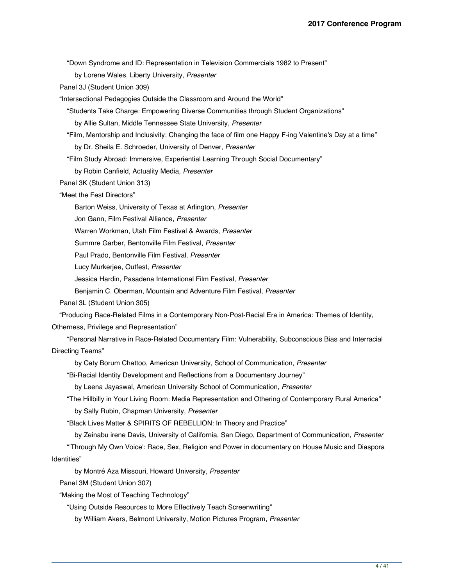"Down Syndrome and ID: Representation in Television Commercials 1982 to Present"

by Lorene Wales, Liberty University, *Presenter*

Panel 3J (Student Union 309)

"Intersectional Pedagogies Outside the Classroom and Around the World"

"Students Take Charge: Empowering Diverse Communities through Student Organizations"

by Allie Sultan, Middle Tennessee State University, *Presenter*

 "Film, Mentorship and Inclusivity: Changing the face of film one Happy F-ing Valentine's Day at a time" by Dr. Sheila E. Schroeder, University of Denver, *Presenter*

"Film Study Abroad: Immersive, Experiential Learning Through Social Documentary"

by Robin Canfield, Actuality Media, *Presenter*

Panel 3K (Student Union 313)

"Meet the Fest Directors"

Barton Weiss, University of Texas at Arlington, *Presenter*

Jon Gann, Film Festival Alliance, *Presenter*

Warren Workman, Utah Film Festival & Awards, *Presenter*

Summre Garber, Bentonville Film Festival, *Presenter*

Paul Prado, Bentonville Film Festival, *Presenter*

Lucy Murkerjee, Outfest, *Presenter*

Jessica Hardin, Pasadena International Film Festival, *Presenter*

Benjamin C. Oberman, Mountain and Adventure Film Festival, *Presenter*

Panel 3L (Student Union 305)

"Producing Race-Related Films in a Contemporary Non-Post-Racial Era in America: Themes of Identity,

Otherness, Privilege and Representation"

 "Personal Narrative in Race-Related Documentary Film: Vulnerability, Subconscious Bias and Interracial Directing Teams"

by Caty Borum Chattoo, American University, School of Communication, *Presenter*

"Bi-Racial Identity Development and Reflections from a Documentary Journey"

by Leena Jayaswal, American University School of Communication, *Presenter*

 "The Hillbilly in Your Living Room: Media Representation and Othering of Contemporary Rural America" by Sally Rubin, Chapman University, *Presenter*

"Black Lives Matter & SPIRITS OF REBELLION: In Theory and Practice"

 by Zeinabu irene Davis, University of California, San Diego, Department of Communication, *Presenter* "'Through My Own Voice': Race, Sex, Religion and Power in documentary on House Music and Diaspora Identities"

by Montré Aza Missouri, Howard University, *Presenter*

Panel 3M (Student Union 307)

"Making the Most of Teaching Technology"

"Using Outside Resources to More Effectively Teach Screenwriting"

by William Akers, Belmont University, Motion Pictures Program, *Presenter*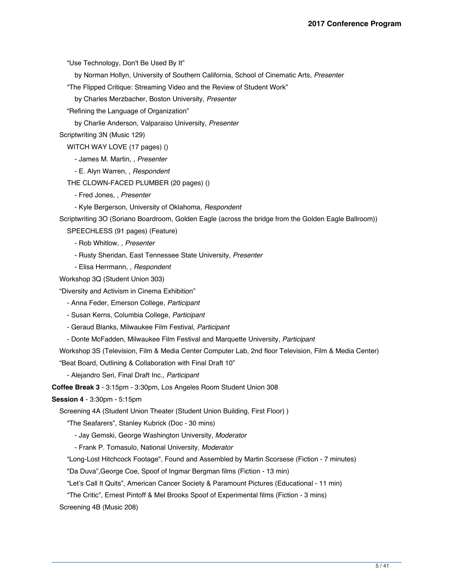"Use Technology, Don't Be Used By It"

by Norman Hollyn, University of Southern California, School of Cinematic Arts, *Presenter*

"The Flipped Critique: Streaming Video and the Review of Student Work"

by Charles Merzbacher, Boston University, *Presenter*

"Refining the Language of Organization"

by Charlie Anderson, Valparaiso University, *Presenter*

Scriptwriting 3N (Music 129)

WITCH WAY LOVE (17 pages) ()

- James M. Martin, , *Presenter*
- E. Alyn Warren, , *Respondent*

THE CLOWN-FACED PLUMBER (20 pages) ()

- Fred Jones, , *Presenter*

- Kyle Bergerson, University of Oklahoma, *Respondent*

Scriptwriting 3O (Soriano Boardroom, Golden Eagle (across the bridge from the Golden Eagle Ballroom))

SPEECHLESS (91 pages) (Feature)

- Rob Whitlow, , *Presenter*
- Rusty Sheridan, East Tennessee State University, *Presenter*
- Elisa Herrmann, , *Respondent*

Workshop 3Q (Student Union 303)

"Diversity and Activism in Cinema Exhibition"

- Anna Feder, Emerson College, *Participant*
- Susan Kerns, Columbia College, *Participant*
- Geraud Blanks, Milwaukee Film Festival, *Participant*
- Donte McFadden, Milwaukee Film Festival and Marquette University, *Participant*

Workshop 3S (Television, Film & Media Center Computer Lab, 2nd floor Television, Film & Media Center)

"Beat Board, Outlining & Collaboration with Final Draft 10"

- Alejandro Seri, Final Draft Inc., *Participant*

**Coffee Break 3** - 3:15pm - 3:30pm, Los Angeles Room Student Union 308

**Session 4** - 3:30pm - 5:15pm

Screening 4A (Student Union Theater (Student Union Building, First Floor) )

"The Seafarers", Stanley Kubrick (Doc - 30 mins)

- Jay Gemski, George Washington University, *Moderator*

- Frank P. Tomasulo, National University, *Moderator*

"Long-Lost Hitchcock Footage", Found and Assembled by Martin Scorsese (Fiction - 7 minutes)

"Da Duva",George Coe, Spoof of Ingmar Bergman films (Fiction - 13 min)

"Let's Call It Quits", American Cancer Society & Paramount Pictures (Educational - 11 min)

"The Critic", Ernest Pintoff & Mel Brooks Spoof of Experimental films (Fiction - 3 mins)

Screening 4B (Music 208)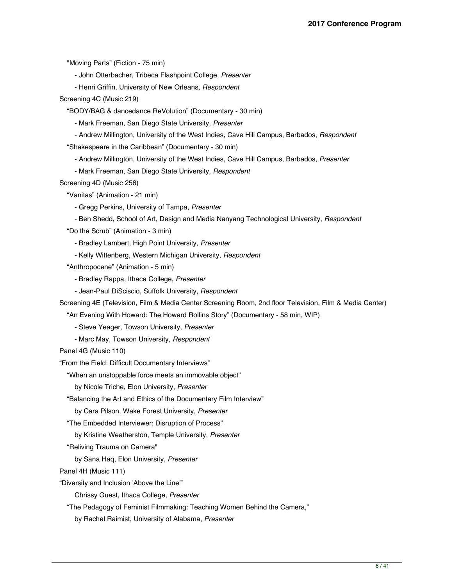"Moving Parts" (Fiction - 75 min)

- John Otterbacher, Tribeca Flashpoint College, *Presenter*
- Henri Griffin, University of New Orleans, *Respondent*

Screening 4C (Music 219)

"BODY/BAG & dancedance ReVolution" (Documentary - 30 min)

- Mark Freeman, San Diego State University, *Presenter*

- Andrew Millington, University of the West Indies, Cave Hill Campus, Barbados, *Respondent*

"Shakespeare in the Caribbean" (Documentary - 30 min)

- Andrew Millington, University of the West Indies, Cave Hill Campus, Barbados, *Presenter*
- Mark Freeman, San Diego State University, *Respondent*

Screening 4D (Music 256)

"Vanitas" (Animation - 21 min)

- Gregg Perkins, University of Tampa, *Presenter*
- Ben Shedd, School of Art, Design and Media Nanyang Technological University, *Respondent*

"Do the Scrub" (Animation - 3 min)

- Bradley Lambert, High Point University, *Presenter*
- Kelly Wittenberg, Western Michigan University, *Respondent*

"Anthropocene" (Animation - 5 min)

- Bradley Rappa, Ithaca College, *Presenter*
- Jean-Paul DiSciscio, Suffolk University, *Respondent*

Screening 4E (Television, Film & Media Center Screening Room, 2nd floor Television, Film & Media Center)

"An Evening With Howard: The Howard Rollins Story" (Documentary - 58 min, WIP)

- Steve Yeager, Towson University, *Presenter*
- Marc May, Towson University, *Respondent*

Panel 4G (Music 110)

"From the Field: Difficult Documentary Interviews"

"When an unstoppable force meets an immovable object"

by Nicole Triche, Elon University, *Presenter*

"Balancing the Art and Ethics of the Documentary Film Interview"

by Cara Pilson, Wake Forest University, *Presenter*

"The Embedded Interviewer: Disruption of Process"

by Kristine Weatherston, Temple University, *Presenter*

"Reliving Trauma on Camera"

by Sana Haq, Elon University, *Presenter*

Panel 4H (Music 111)

"Diversity and Inclusion 'Above the Line'"

Chrissy Guest, Ithaca College, *Presenter*

"The Pedagogy of Feminist Filmmaking: Teaching Women Behind the Camera,"

by Rachel Raimist, University of Alabama, *Presenter*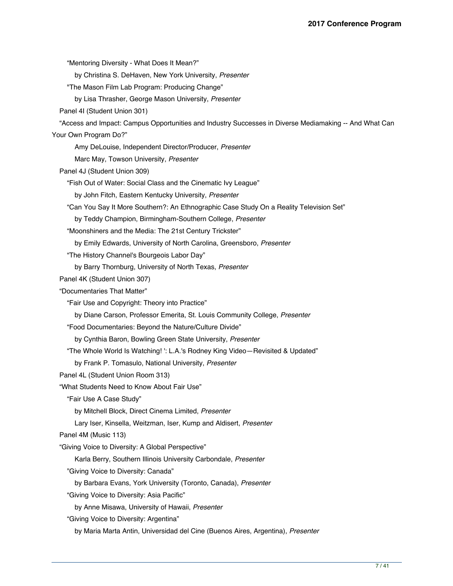"Mentoring Diversity - What Does It Mean?" by Christina S. DeHaven, New York University, *Presenter* "The Mason Film Lab Program: Producing Change" by Lisa Thrasher, George Mason University, *Presenter* Panel 4I (Student Union 301) "Access and Impact: Campus Opportunities and Industry Successes in Diverse Mediamaking -- And What Can Your Own Program Do?" Amy DeLouise, Independent Director/Producer, *Presenter* Marc May, Towson University, *Presenter* Panel 4J (Student Union 309) "Fish Out of Water: Social Class and the Cinematic Ivy League" by John Fitch, Eastern Kentucky University, *Presenter* "Can You Say It More Southern?: An Ethnographic Case Study On a Reality Television Set" by Teddy Champion, Birmingham-Southern College, *Presenter* "Moonshiners and the Media: The 21st Century Trickster" by Emily Edwards, University of North Carolina, Greensboro, *Presenter* "The History Channel's Bourgeois Labor Day" by Barry Thornburg, University of North Texas, *Presenter* Panel 4K (Student Union 307) "Documentaries That Matter" "Fair Use and Copyright: Theory into Practice" by Diane Carson, Professor Emerita, St. Louis Community College, *Presenter* "Food Documentaries: Beyond the Nature/Culture Divide" by Cynthia Baron, Bowling Green State University, *Presenter* "The Whole World Is Watching! ': L.A.'s Rodney King Video—Revisited & Updated" by Frank P. Tomasulo, National University, *Presenter* Panel 4L (Student Union Room 313) "What Students Need to Know About Fair Use" "Fair Use A Case Study" by Mitchell Block, Direct Cinema Limited, *Presenter* Lary Iser, Kinsella, Weitzman, Iser, Kump and Aldisert, *Presenter* Panel 4M (Music 113) "Giving Voice to Diversity: A Global Perspective" Karla Berry, Southern Illinois University Carbondale, *Presenter* "Giving Voice to Diversity: Canada" by Barbara Evans, York University (Toronto, Canada), *Presenter* "Giving Voice to Diversity: Asia Pacific" by Anne Misawa, University of Hawaii, *Presenter* "Giving Voice to Diversity: Argentina"

by Maria Marta Antin, Universidad del Cine (Buenos Aires, Argentina), *Presenter*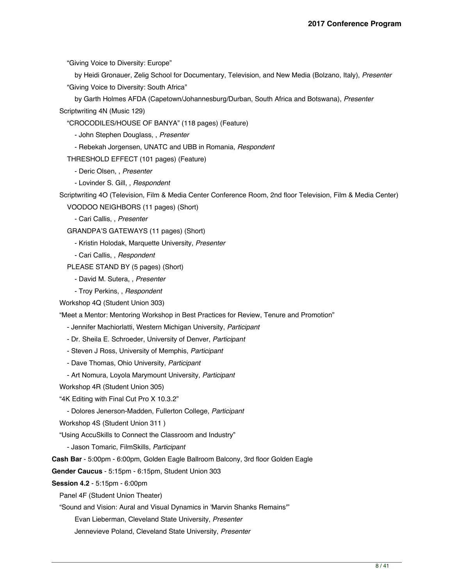"Giving Voice to Diversity: Europe"

 by Heidi Gronauer, Zelig School for Documentary, Television, and New Media (Bolzano, Italy), *Presenter* "Giving Voice to Diversity: South Africa"

by Garth Holmes AFDA (Capetown/Johannesburg/Durban, South Africa and Botswana), *Presenter*

Scriptwriting 4N (Music 129)

"CROCODILES/HOUSE OF BANYA" (118 pages) (Feature)

- John Stephen Douglass, , *Presenter*

- Rebekah Jorgensen, UNATC and UBB in Romania, *Respondent*

THRESHOLD EFFECT (101 pages) (Feature)

- Deric Olsen, , *Presenter*

- Lovinder S. Gill, , *Respondent*

Scriptwriting 4O (Television, Film & Media Center Conference Room, 2nd floor Television, Film & Media Center)

VOODOO NEIGHBORS (11 pages) (Short)

- Cari Callis, , *Presenter*

GRANDPA'S GATEWAYS (11 pages) (Short)

- Kristin Holodak, Marquette University, *Presenter*

- Cari Callis, , *Respondent*

PLEASE STAND BY (5 pages) (Short)

- David M. Sutera, , *Presenter*

- Troy Perkins, , *Respondent*

Workshop 4Q (Student Union 303)

"Meet a Mentor: Mentoring Workshop in Best Practices for Review, Tenure and Promotion"

- Jennifer Machiorlatti, Western Michigan University, *Participant*
- Dr. Sheila E. Schroeder, University of Denver, *Participant*
- Steven J Ross, University of Memphis, *Participant*
- Dave Thomas, Ohio University, *Participant*
- Art Nomura, Loyola Marymount University, *Participant*

Workshop 4R (Student Union 305)

- "4K Editing with Final Cut Pro X 10.3.2"
	- Dolores Jenerson-Madden, Fullerton College, *Participant*

Workshop 4S (Student Union 311 )

"Using AccuSkills to Connect the Classroom and Industry"

- Jason Tomaric, FilmSkills, *Participant*

**Cash Bar** - 5:00pm - 6:00pm, Golden Eagle Ballroom Balcony, 3rd floor Golden Eagle

**Gender Caucus** - 5:15pm - 6:15pm, Student Union 303

**Session 4.2** - 5:15pm - 6:00pm

Panel 4F (Student Union Theater)

"Sound and Vision: Aural and Visual Dynamics in 'Marvin Shanks Remains'"

Evan Lieberman, Cleveland State University, *Presenter*

Jennevieve Poland, Cleveland State University, *Presenter*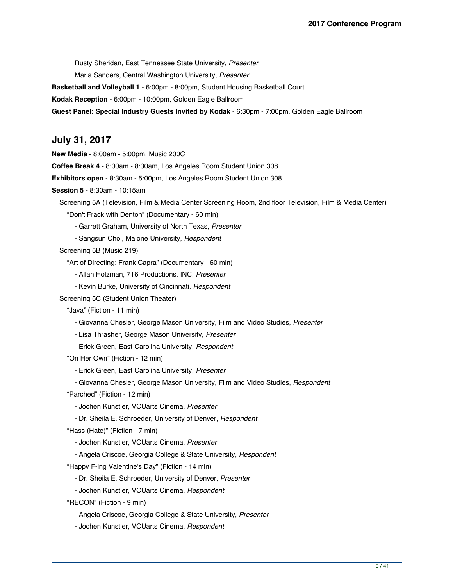Rusty Sheridan, East Tennessee State University, *Presenter*

Maria Sanders, Central Washington University, *Presenter*

**Basketball and Volleyball 1** - 6:00pm - 8:00pm, Student Housing Basketball Court

**Kodak Reception** - 6:00pm - 10:00pm, Golden Eagle Ballroom

**Guest Panel: Special Industry Guests Invited by Kodak** - 6:30pm - 7:00pm, Golden Eagle Ballroom

### **July 31, 2017**

**New Media** - 8:00am - 5:00pm, Music 200C

**Coffee Break 4** - 8:00am - 8:30am, Los Angeles Room Student Union 308

**Exhibitors open** - 8:30am - 5:00pm, Los Angeles Room Student Union 308

**Session 5** - 8:30am - 10:15am

Screening 5A (Television, Film & Media Center Screening Room, 2nd floor Television, Film & Media Center)

"Don't Frack with Denton" (Documentary - 60 min)

- Garrett Graham, University of North Texas, *Presenter*

- Sangsun Choi, Malone University, *Respondent*

Screening 5B (Music 219)

"Art of Directing: Frank Capra" (Documentary - 60 min)

- Allan Holzman, 716 Productions, INC, *Presenter*

- Kevin Burke, University of Cincinnati, *Respondent*

Screening 5C (Student Union Theater)

"Java" (Fiction - 11 min)

- Giovanna Chesler, George Mason University, Film and Video Studies, *Presenter*

- Lisa Thrasher, George Mason University, *Presenter*

- Erick Green, East Carolina University, *Respondent*

"On Her Own" (Fiction - 12 min)

- Erick Green, East Carolina University, *Presenter*

- Giovanna Chesler, George Mason University, Film and Video Studies, *Respondent*

"Parched" (Fiction - 12 min)

- Jochen Kunstler, VCUarts Cinema, *Presenter*

- Dr. Sheila E. Schroeder, University of Denver, *Respondent*

"Hass (Hate)" (Fiction - 7 min)

- Jochen Kunstler, VCUarts Cinema, *Presenter*

- Angela Criscoe, Georgia College & State University, *Respondent*

"Happy F-ing Valentine's Day" (Fiction - 14 min)

- Dr. Sheila E. Schroeder, University of Denver, *Presenter*

- Jochen Kunstler, VCUarts Cinema, *Respondent*

"RECON" (Fiction - 9 min)

- Angela Criscoe, Georgia College & State University, *Presenter*
- Jochen Kunstler, VCUarts Cinema, *Respondent*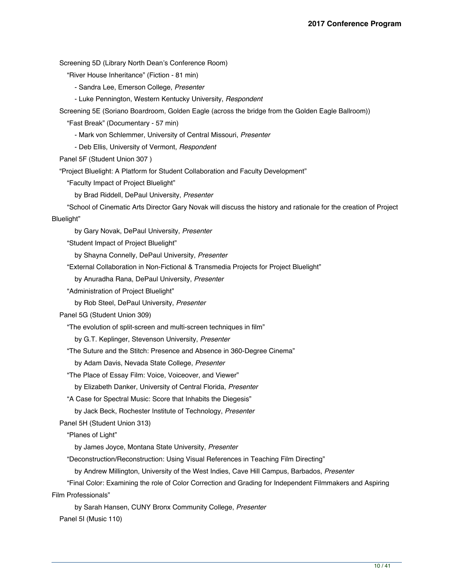Screening 5D (Library North Dean's Conference Room)

"River House Inheritance" (Fiction - 81 min)

- Sandra Lee, Emerson College, *Presenter*
- Luke Pennington, Western Kentucky University, *Respondent*

Screening 5E (Soriano Boardroom, Golden Eagle (across the bridge from the Golden Eagle Ballroom))

"Fast Break" (Documentary - 57 min)

- Mark von Schlemmer, University of Central Missouri, *Presenter*
- Deb Ellis, University of Vermont, *Respondent*

Panel 5F (Student Union 307 )

"Project Bluelight: A Platform for Student Collaboration and Faculty Development"

"Faculty Impact of Project Bluelight"

by Brad Riddell, DePaul University, *Presenter*

 "School of Cinematic Arts Director Gary Novak will discuss the history and rationale for the creation of Project Bluelight"

by Gary Novak, DePaul University, *Presenter*

"Student Impact of Project Bluelight"

by Shayna Connelly, DePaul University, *Presenter*

"External Collaboration in Non-Fictional & Transmedia Projects for Project Bluelight"

by Anuradha Rana, DePaul University, *Presenter*

"Administration of Project Bluelight"

by Rob Steel, DePaul University, *Presenter*

Panel 5G (Student Union 309)

"The evolution of split-screen and multi-screen techniques in film"

by G.T. Keplinger, Stevenson University, *Presenter*

"The Suture and the Stitch: Presence and Absence in 360-Degree Cinema"

by Adam Davis, Nevada State College, *Presenter*

"The Place of Essay Film: Voice, Voiceover, and Viewer"

by Elizabeth Danker, University of Central Florida, *Presenter*

"A Case for Spectral Music: Score that Inhabits the Diegesis"

by Jack Beck, Rochester Institute of Technology, *Presenter*

Panel 5H (Student Union 313)

"Planes of Light"

by James Joyce, Montana State University, *Presenter*

"Deconstruction/Reconstruction: Using Visual References in Teaching Film Directing"

by Andrew Millington, University of the West Indies, Cave Hill Campus, Barbados, *Presenter*

 "Final Color: Examining the role of Color Correction and Grading for Independent Filmmakers and Aspiring Film Professionals"

by Sarah Hansen, CUNY Bronx Community College, *Presenter*

Panel 5I (Music 110)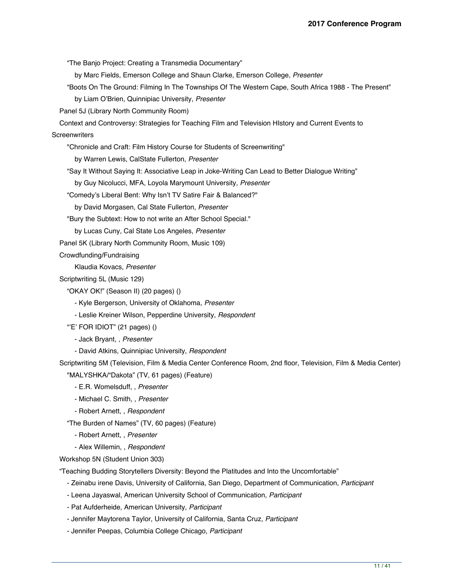"The Banjo Project: Creating a Transmedia Documentary"

by Marc Fields, Emerson College and Shaun Clarke, Emerson College, *Presenter*

"Boots On The Ground: Filming In The Townships Of The Western Cape, South Africa 1988 - The Present"

by Liam O'Brien, Quinnipiac University, *Presenter*

Panel 5J (Library North Community Room)

Context and Controversy: Strategies for Teaching Film and Television HIstory and Current Events to

**Screenwriters** 

"Chronicle and Craft: Film History Course for Students of Screenwriting"

by Warren Lewis, CalState Fullerton, *Presenter*

"Say It Without Saying It: Associative Leap in Joke-Writing Can Lead to Better Dialogue Writing"

by Guy Nicolucci, MFA, Loyola Marymount University, *Presenter*

"Comedy's Liberal Bent: Why Isn't TV Satire Fair & Balanced?"

by David Morgasen, Cal State Fullerton, *Presenter*

"Bury the Subtext: How to not write an After School Special."

by Lucas Cuny, Cal State Los Angeles, *Presenter*

Panel 5K (Library North Community Room, Music 109)

Crowdfunding/Fundraising

Klaudia Kovacs, *Presenter*

Scriptwriting 5L (Music 129)

"OKAY OK!" (Season II) (20 pages) ()

- Kyle Bergerson, University of Oklahoma, *Presenter*
- Leslie Kreiner Wilson, Pepperdine University, *Respondent*

"'E' FOR IDIOT" (21 pages) ()

- Jack Bryant, , *Presenter*
- David Atkins, Quinnipiac University, *Respondent*

 Scriptwriting 5M (Television, Film & Media Center Conference Room, 2nd floor, Television, Film & Media Center) "MALYSHKA/"Dakota" (TV, 61 pages) (Feature)

- E.R. Womelsduff, , *Presenter*

- Michael C. Smith, , *Presenter*
- Robert Arnett, , *Respondent*

"The Burden of Names" (TV, 60 pages) (Feature)

- Robert Arnett, , *Presenter*

- Alex Willemin, , *Respondent*

Workshop 5N (Student Union 303)

"Teaching Budding Storytellers Diversity: Beyond the Platitudes and Into the Uncomfortable"

- Zeinabu irene Davis, University of California, San Diego, Department of Communication, *Participant*
- Leena Jayaswal, American University School of Communication, *Participant*
- Pat Aufderheide, American University, *Participant*
- Jennifer Maytorena Taylor, University of California, Santa Cruz, *Participant*
- Jennifer Peepas, Columbia College Chicago, *Participant*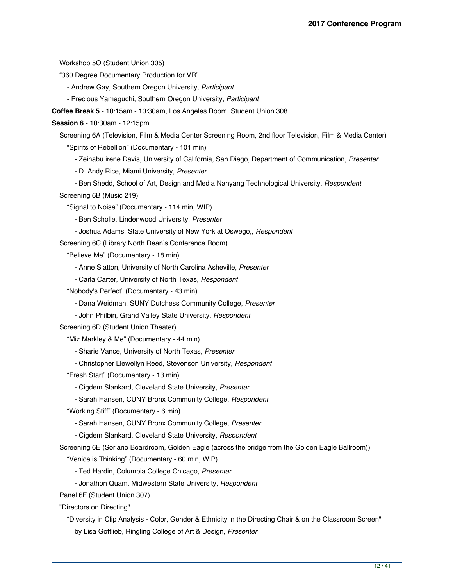Workshop 5O (Student Union 305)

"360 Degree Documentary Production for VR"

- Andrew Gay, Southern Oregon University, *Participant*

- Precious Yamaguchi, Southern Oregon University, *Participant*

**Coffee Break 5** - 10:15am - 10:30am, Los Angeles Room, Student Union 308

#### **Session 6** - 10:30am - 12:15pm

 Screening 6A (Television, Film & Media Center Screening Room, 2nd floor Television, Film & Media Center) "Spirits of Rebellion" (Documentary - 101 min)

- Zeinabu irene Davis, University of California, San Diego, Department of Communication, *Presenter*

- D. Andy Rice, Miami University, *Presenter*

 - Ben Shedd, School of Art, Design and Media Nanyang Technological University, *Respondent* Screening 6B (Music 219)

"Signal to Noise" (Documentary - 114 min, WIP)

- Ben Scholle, Lindenwood University, *Presenter*

- Joshua Adams, State University of New York at Oswego,, *Respondent*

Screening 6C (Library North Dean's Conference Room)

"Believe Me" (Documentary - 18 min)

- Anne Slatton, University of North Carolina Asheville, *Presenter*

- Carla Carter, University of North Texas, *Respondent*

"Nobody's Perfect" (Documentary - 43 min)

- Dana Weidman, SUNY Dutchess Community College, *Presenter*

- John Philbin, Grand Valley State University, *Respondent*

Screening 6D (Student Union Theater)

"Miz Markley & Me" (Documentary - 44 min)

- Sharie Vance, University of North Texas, *Presenter*

- Christopher Llewellyn Reed, Stevenson University, *Respondent*

"Fresh Start" (Documentary - 13 min)

- Cigdem Slankard, Cleveland State University, *Presenter*

- Sarah Hansen, CUNY Bronx Community College, *Respondent*

"Working Stiff" (Documentary - 6 min)

- Sarah Hansen, CUNY Bronx Community College, *Presenter*

- Cigdem Slankard, Cleveland State University, *Respondent*

Screening 6E (Soriano Boardroom, Golden Eagle (across the bridge from the Golden Eagle Ballroom))

"Venice is Thinking" (Documentary - 60 min, WIP)

- Ted Hardin, Columbia College Chicago, *Presenter*

- Jonathon Quam, Midwestern State University, *Respondent*

Panel 6F (Student Union 307)

"Directors on Directing"

"Diversity in Clip Analysis - Color, Gender & Ethnicity in the Directing Chair & on the Classroom Screen"

by Lisa Gottlieb, Ringling College of Art & Design, *Presenter*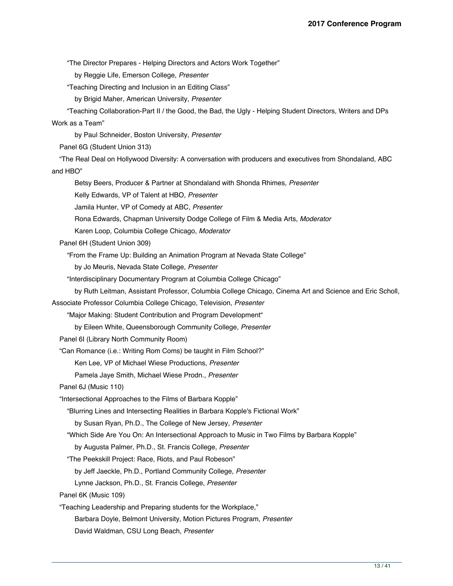"The Director Prepares - Helping Directors and Actors Work Together"

by Reggie Life, Emerson College, *Presenter*

"Teaching Directing and Inclusion in an Editing Class"

by Brigid Maher, American University, *Presenter*

 "Teaching Collaboration-Part II / the Good, the Bad, the Ugly - Helping Student Directors, Writers and DPs Work as a Team"

by Paul Schneider, Boston University, *Presenter*

Panel 6G (Student Union 313)

 "The Real Deal on Hollywood Diversity: A conversation with producers and executives from Shondaland, ABC and HBO"

Betsy Beers, Producer & Partner at Shondaland with Shonda Rhimes, *Presenter*

Kelly Edwards, VP of Talent at HBO, *Presenter*

Jamila Hunter, VP of Comedy at ABC, *Presenter*

Rona Edwards, Chapman University Dodge College of Film & Media Arts, *Moderator*

Karen Loop, Columbia College Chicago, *Moderator*

Panel 6H (Student Union 309)

"From the Frame Up: Building an Animation Program at Nevada State College"

by Jo Meuris, Nevada State College, *Presenter*

"Interdisciplinary Documentary Program at Columbia College Chicago"

by Ruth Leitman, Assistant Professor, Columbia College Chicago, Cinema Art and Science and Eric Scholl,

Associate Professor Columbia College Chicago, Television, *Presenter*

"Major Making: Student Contribution and Program Development"

by Eileen White, Queensborough Community College, *Presenter*

Panel 6I (Library North Community Room)

"Can Romance (i.e.: Writing Rom Coms) be taught in Film School?"

Ken Lee, VP of Michael Wiese Productions, *Presenter*

Pamela Jaye Smith, Michael Wiese Prodn., *Presenter*

Panel 6J (Music 110)

"Intersectional Approaches to the Films of Barbara Kopple"

"Blurring Lines and Intersecting Realities in Barbara Kopple's Fictional Work"

by Susan Ryan, Ph.D., The College of New Jersey, *Presenter*

"Which Side Are You On: An Intersectional Approach to Music in Two Films by Barbara Kopple"

by Augusta Palmer, Ph.D., St. Francis College, *Presenter*

"The Peekskill Project: Race, Riots, and Paul Robeson"

by Jeff Jaeckle, Ph.D., Portland Community College, *Presenter*

Lynne Jackson, Ph.D., St. Francis College, *Presenter*

Panel 6K (Music 109)

"Teaching Leadership and Preparing students for the Workplace,"

Barbara Doyle, Belmont University, Motion Pictures Program, *Presenter*

David Waldman, CSU Long Beach, *Presenter*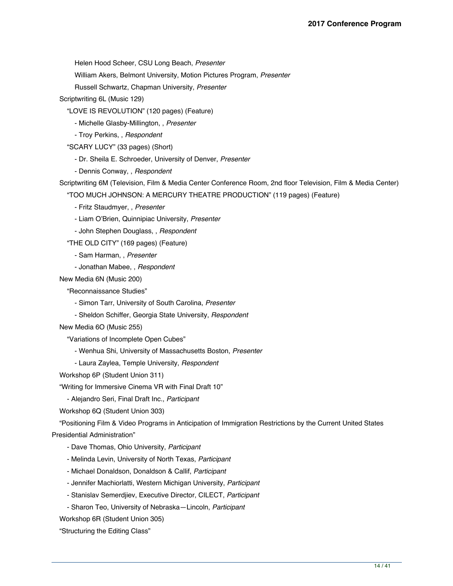Helen Hood Scheer, CSU Long Beach, *Presenter*

William Akers, Belmont University, Motion Pictures Program, *Presenter*

Russell Schwartz, Chapman University, *Presenter*

Scriptwriting 6L (Music 129)

"LOVE IS REVOLUTION" (120 pages) (Feature)

- Michelle Glasby-Millington, , *Presenter*

- Troy Perkins, , *Respondent*

"SCARY LUCY" (33 pages) (Short)

- Dr. Sheila E. Schroeder, University of Denver, *Presenter*

- Dennis Conway, , *Respondent*

Scriptwriting 6M (Television, Film & Media Center Conference Room, 2nd floor Television, Film & Media Center)

"TOO MUCH JOHNSON: A MERCURY THEATRE PRODUCTION" (119 pages) (Feature)

- Fritz Staudmyer, , *Presenter*

- Liam O'Brien, Quinnipiac University, *Presenter*

- John Stephen Douglass, , *Respondent*

"THE OLD CITY" (169 pages) (Feature)

- Sam Harman, , *Presenter*

- Jonathan Mabee, , *Respondent*

New Media 6N (Music 200)

"Reconnaissance Studies"

- Simon Tarr, University of South Carolina, *Presenter*
- Sheldon Schiffer, Georgia State University, *Respondent*

New Media 6O (Music 255)

"Variations of Incomplete Open Cubes"

- Wenhua Shi, University of Massachusetts Boston, *Presenter*
- Laura Zaylea, Temple University, *Respondent*

Workshop 6P (Student Union 311)

"Writing for Immersive Cinema VR with Final Draft 10"

- Alejandro Seri, Final Draft Inc., *Participant*

Workshop 6Q (Student Union 303)

 "Positioning Film & Video Programs in Anticipation of Immigration Restrictions by the Current United States Presidential Administration"

- Dave Thomas, Ohio University, *Participant*
- Melinda Levin, University of North Texas, *Participant*
- Michael Donaldson, Donaldson & Callif, *Participant*
- Jennifer Machiorlatti, Western Michigan University, *Participant*
- Stanislav Semerdjiev, Executive Director, CILECT, *Participant*
- Sharon Teo, University of Nebraska—Lincoln, *Participant*

Workshop 6R (Student Union 305)

"Structuring the Editing Class"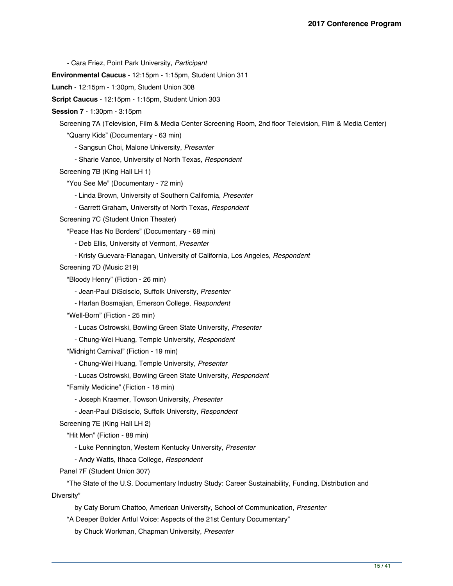- Cara Friez, Point Park University, *Participant*

**Environmental Caucus** - 12:15pm - 1:15pm, Student Union 311

**Lunch** - 12:15pm - 1:30pm, Student Union 308

**Script Caucus** - 12:15pm - 1:15pm, Student Union 303

**Session 7** - 1:30pm - 3:15pm

Screening 7A (Television, Film & Media Center Screening Room, 2nd floor Television, Film & Media Center)

"Quarry Kids" (Documentary - 63 min)

- Sangsun Choi, Malone University, *Presenter*

- Sharie Vance, University of North Texas, *Respondent*

Screening 7B (King Hall LH 1)

"You See Me" (Documentary - 72 min)

- Linda Brown, University of Southern California, *Presenter*

- Garrett Graham, University of North Texas, *Respondent*

Screening 7C (Student Union Theater)

"Peace Has No Borders" (Documentary - 68 min)

- Deb Ellis, University of Vermont, *Presenter*

- Kristy Guevara-Flanagan, University of California, Los Angeles, *Respondent*

Screening 7D (Music 219)

"Bloody Henry" (Fiction - 26 min)

- Jean-Paul DiSciscio, Suffolk University, *Presenter*

- Harlan Bosmajian, Emerson College, *Respondent*

"Well-Born" (Fiction - 25 min)

- Lucas Ostrowski, Bowling Green State University, *Presenter*

- Chung-Wei Huang, Temple University, *Respondent*

"Midnight Carnival" (Fiction - 19 min)

- Chung-Wei Huang, Temple University, *Presenter*

- Lucas Ostrowski, Bowling Green State University, *Respondent*

"Family Medicine" (Fiction - 18 min)

- Joseph Kraemer, Towson University, *Presenter*

- Jean-Paul DiSciscio, Suffolk University, *Respondent*

Screening 7E (King Hall LH 2)

"Hit Men" (Fiction - 88 min)

- Luke Pennington, Western Kentucky University, *Presenter*

- Andy Watts, Ithaca College, *Respondent*

Panel 7F (Student Union 307)

 "The State of the U.S. Documentary Industry Study: Career Sustainability, Funding, Distribution and Diversity"

by Caty Borum Chattoo, American University, School of Communication, *Presenter*

"A Deeper Bolder Artful Voice: Aspects of the 21st Century Documentary"

by Chuck Workman, Chapman University, *Presenter*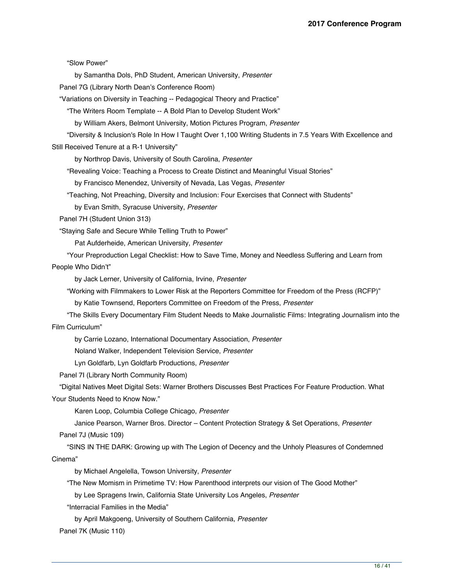"Slow Power"

by Samantha Dols, PhD Student, American University, *Presenter*

Panel 7G (Library North Dean's Conference Room)

"Variations on Diversity in Teaching -- Pedagogical Theory and Practice"

"The Writers Room Template -- A Bold Plan to Develop Student Work"

by William Akers, Belmont University, Motion Pictures Program, *Presenter*

"Diversity & Inclusion's Role In How I Taught Over 1,100 Writing Students in 7.5 Years With Excellence and

Still Received Tenure at a R-1 University"

by Northrop Davis, University of South Carolina, *Presenter*

"Revealing Voice: Teaching a Process to Create Distinct and Meaningful Visual Stories"

by Francisco Menendez, University of Nevada, Las Vegas, *Presenter*

"Teaching, Not Preaching, Diversity and Inclusion: Four Exercises that Connect with Students"

by Evan Smith, Syracuse University, *Presenter*

Panel 7H (Student Union 313)

"Staying Safe and Secure While Telling Truth to Power"

Pat Aufderheide, American University, *Presenter*

"Your Preproduction Legal Checklist: How to Save Time, Money and Needless Suffering and Learn from

People Who Didn't"

by Jack Lerner, University of California, Irvine, *Presenter*

"Working with Filmmakers to Lower Risk at the Reporters Committee for Freedom of the Press (RCFP)"

by Katie Townsend, Reporters Committee on Freedom of the Press, *Presenter*

 "The Skills Every Documentary Film Student Needs to Make Journalistic Films: Integrating Journalism into the Film Curriculum"

by Carrie Lozano, International Documentary Association, *Presenter*

Noland Walker, Independent Television Service, *Presenter*

Lyn Goldfarb, Lyn Goldfarb Productions, *Presenter*

Panel 7I (Library North Community Room)

"Digital Natives Meet Digital Sets: Warner Brothers Discusses Best Practices For Feature Production. What

Your Students Need to Know Now."

Karen Loop, Columbia College Chicago, *Presenter*

Janice Pearson, Warner Bros. Director – Content Protection Strategy & Set Operations, *Presenter*

Panel 7J (Music 109)

 "SINS IN THE DARK: Growing up with The Legion of Decency and the Unholy Pleasures of Condemned Cinema"

by Michael Angelella, Towson University, *Presenter*

"The New Momism in Primetime TV: How Parenthood interprets our vision of The Good Mother"

by Lee Spragens Irwin, California State University Los Angeles, *Presenter*

"Interracial Families in the Media"

by April Makgoeng, University of Southern California, *Presenter*

Panel 7K (Music 110)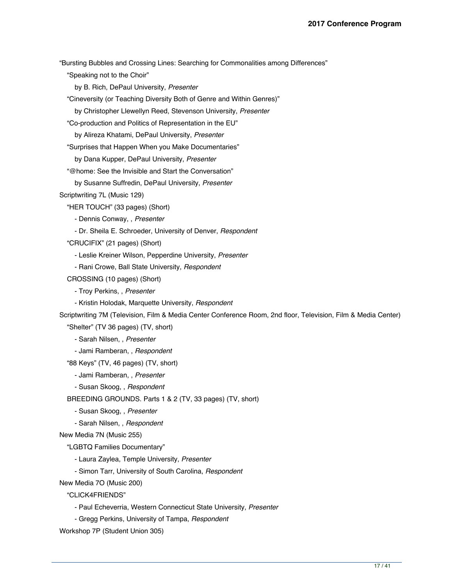"Bursting Bubbles and Crossing Lines: Searching for Commonalities among Differences"

"Speaking not to the Choir"

by B. Rich, DePaul University, *Presenter*

"Cineversity (or Teaching Diversity Both of Genre and Within Genres)"

by Christopher Llewellyn Reed, Stevenson University, *Presenter*

"Co-production and Politics of Representation in the EU"

by Alireza Khatami, DePaul University, *Presenter*

"Surprises that Happen When you Make Documentaries"

by Dana Kupper, DePaul University, *Presenter*

"@home: See the Invisible and Start the Conversation"

by Susanne Suffredin, DePaul University, *Presenter*

Scriptwriting 7L (Music 129)

"HER TOUCH" (33 pages) (Short)

- Dennis Conway, , *Presenter*

- Dr. Sheila E. Schroeder, University of Denver, *Respondent*

"CRUCIFIX" (21 pages) (Short)

- Leslie Kreiner Wilson, Pepperdine University, *Presenter*

- Rani Crowe, Ball State University, *Respondent*

CROSSING (10 pages) (Short)

- Troy Perkins, , *Presenter*

- Kristin Holodak, Marquette University, *Respondent*

Scriptwriting 7M (Television, Film & Media Center Conference Room, 2nd floor, Television, Film & Media Center)

"Shelter" (TV 36 pages) (TV, short)

- Sarah Nilsen, , *Presenter*

- Jami Ramberan, , *Respondent*

"88 Keys" (TV, 46 pages) (TV, short)

- Jami Ramberan, , *Presenter*

- Susan Skoog, , *Respondent*

BREEDING GROUNDS. Parts 1 & 2 (TV, 33 pages) (TV, short)

- Susan Skoog, , *Presenter*

- Sarah Nilsen, , *Respondent*

New Media 7N (Music 255)

"LGBTQ Families Documentary"

- Laura Zaylea, Temple University, *Presenter*

- Simon Tarr, University of South Carolina, *Respondent*

New Media 7O (Music 200)

"CLICK4FRIENDS"

- Paul Echeverria, Western Connecticut State University, *Presenter*

- Gregg Perkins, University of Tampa, *Respondent*

Workshop 7P (Student Union 305)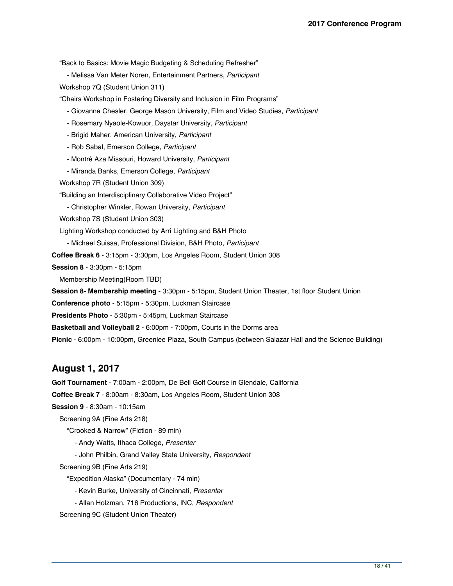"Back to Basics: Movie Magic Budgeting & Scheduling Refresher"

- Melissa Van Meter Noren, Entertainment Partners, *Participant*

Workshop 7Q (Student Union 311)

"Chairs Workshop in Fostering Diversity and Inclusion in Film Programs"

- Giovanna Chesler, George Mason University, Film and Video Studies, *Participant*
- Rosemary Nyaole-Kowuor, Daystar University, *Participant*
- Brigid Maher, American University, *Participant*
- Rob Sabal, Emerson College, *Participant*
- Montré Aza Missouri, Howard University, *Participant*
- Miranda Banks, Emerson College, *Participant*

Workshop 7R (Student Union 309)

"Building an Interdisciplinary Collaborative Video Project"

- Christopher Winkler, Rowan University, *Participant*

Workshop 7S (Student Union 303)

Lighting Workshop conducted by Arri Lighting and B&H Photo

- Michael Suissa, Professional Division, B&H Photo, *Participant*

**Coffee Break 6** - 3:15pm - 3:30pm, Los Angeles Room, Student Union 308

**Session 8** - 3:30pm - 5:15pm

Membership Meeting(Room TBD)

**Session 8- Membership meeting** - 3:30pm - 5:15pm, Student Union Theater, 1st floor Student Union

**Conference photo** - 5:15pm - 5:30pm, Luckman Staircase

**Presidents Photo** - 5:30pm - 5:45pm, Luckman Staircase

**Basketball and Volleyball 2** - 6:00pm - 7:00pm, Courts in the Dorms area

**Picnic** - 6:00pm - 10:00pm, Greenlee Plaza, South Campus (between Salazar Hall and the Science Building)

## **August 1, 2017**

**Golf Tournament** - 7:00am - 2:00pm, De Bell Golf Course in Glendale, California

**Coffee Break 7** - 8:00am - 8:30am, Los Angeles Room, Student Union 308

**Session 9** - 8:30am - 10:15am

Screening 9A (Fine Arts 218)

"Crooked & Narrow" (Fiction - 89 min)

- Andy Watts, Ithaca College, *Presenter*

- John Philbin, Grand Valley State University, *Respondent*

Screening 9B (Fine Arts 219)

"Expedition Alaska" (Documentary - 74 min)

- Kevin Burke, University of Cincinnati, *Presenter*
- Allan Holzman, 716 Productions, INC, *Respondent*

Screening 9C (Student Union Theater)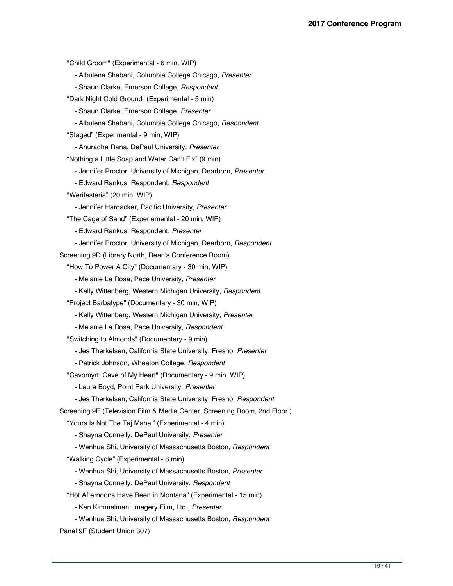"Child Groom" (Experimental - 6 min, WIP) - Albulena Shabani, Columbia College Chicago, *Presenter* - Shaun Clarke, Emerson College, *Respondent* "Dark Night Cold Ground" (Experimental - 5 min) - Shaun Clarke, Emerson College, *Presenter* - Albulena Shabani, Columbia College Chicago, *Respondent* "Staged" (Experimental - 9 min, WIP) - Anuradha Rana, DePaul University, *Presenter* "Nothing a Little Soap and Water Can't Fix" (9 min) - Jennifer Proctor, University of Michigan, Dearborn, *Presenter* - Edward Rankus, Respondent, *Respondent* "Werifesteria" (20 min, WIP) - Jennifer Hardacker, Pacific University, *Presenter* "The Cage of Sand" (Experiemental - 20 min, WIP) - Edward Rankus, Respondent, *Presenter* - Jennifer Proctor, University of Michigan, Dearborn, *Respondent* Screening 9D (Library North, Dean's Conference Room) "How To Power A City" (Documentary - 30 min, WIP) - Melanie La Rosa, Pace University, *Presenter* - Kelly Wittenberg, Western Michigan University, *Respondent* "Project Barbatype" (Documentary - 30 min, WIP) - Kelly Wittenberg, Western Michigan University, *Presenter* - Melanie La Rosa, Pace University, *Respondent* "Switching to Almonds" (Documentary - 9 min) - Jes Therkelsen, California State University, Fresno, *Presenter* - Patrick Johnson, Wheaton College, *Respondent* "Cavomyrt: Cave of My Heart" (Documentary - 9 min, WIP) - Laura Boyd, Point Park University, *Presenter* - Jes Therkelsen, California State University, Fresno, *Respondent* Screening 9E (Television Film & Media Center, Screening Room, 2nd Floor ) "Yours Is Not The Taj Mahal" (Experimental - 4 min) - Shayna Connelly, DePaul University, *Presenter* - Wenhua Shi, University of Massachusetts Boston, *Respondent* "Walking Cycle" (Experimental - 8 min) - Wenhua Shi, University of Massachusetts Boston, *Presenter* - Shayna Connelly, DePaul University, *Respondent* "Hot Afternoons Have Been in Montana" (Experimental - 15 min) - Ken Kimmelman, Imagery Film, Ltd., *Presenter*

- Wenhua Shi, University of Massachusetts Boston, *Respondent*

Panel 9F (Student Union 307)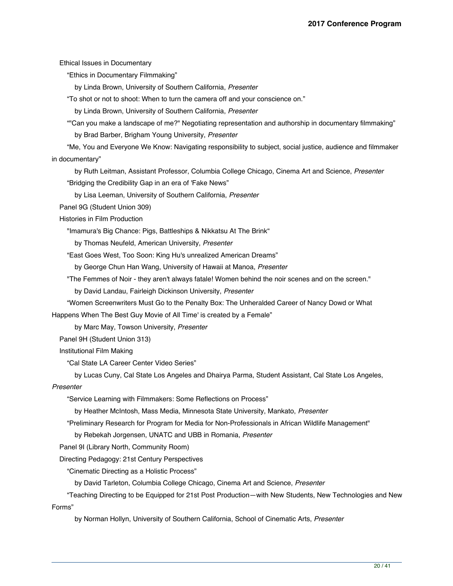Ethical Issues in Documentary

"Ethics in Documentary Filmmaking"

by Linda Brown, University of Southern California, *Presenter*

"To shot or not to shoot: When to turn the camera off and your conscience on."

by Linda Brown, University of Southern California, *Presenter*

 ""Can you make a landscape of me?" Negotiating representation and authorship in documentary filmmaking" by Brad Barber, Brigham Young University, *Presenter*

 "Me, You and Everyone We Know: Navigating responsibility to subject, social justice, audience and filmmaker in documentary"

 by Ruth Leitman, Assistant Professor, Columbia College Chicago, Cinema Art and Science, *Presenter* "Bridging the Credibility Gap in an era of 'Fake News"

by Lisa Leeman, University of Southern California, *Presenter*

Panel 9G (Student Union 309)

Histories in Film Production

"Imamura's Big Chance: Pigs, Battleships & Nikkatsu At The Brink"

by Thomas Neufeld, American University, *Presenter*

"East Goes West, Too Soon: King Hu's unrealized American Dreams"

by George Chun Han Wang, University of Hawaii at Manoa, *Presenter*

"The Femmes of Noir - they aren't always fatale! Women behind the noir scenes and on the screen."

by David Landau, Fairleigh Dickinson University, *Presenter*

 "Women Screenwriters Must Go to the Penalty Box: The Unheralded Career of Nancy Dowd or What Happens When The Best Guy Movie of All Time' is created by a Female"

by Marc May, Towson University, *Presenter*

Panel 9H (Student Union 313)

Institutional Film Making

"Cal State LA Career Center Video Series"

by Lucas Cuny, Cal State Los Angeles and Dhairya Parma, Student Assistant, Cal State Los Angeles,

*Presenter*

"Service Learning with Filmmakers: Some Reflections on Process"

by Heather McIntosh, Mass Media, Minnesota State University, Mankato, *Presenter*

"Preliminary Research for Program for Media for Non-Professionals in African Wildlife Management"

by Rebekah Jorgensen, UNATC and UBB in Romania, *Presenter*

Panel 9I (Library North, Community Room)

Directing Pedagogy: 21st Century Perspectives

"Cinematic Directing as a Holistic Process"

by David Tarleton, Columbia College Chicago, Cinema Art and Science, *Presenter*

 "Teaching Directing to be Equipped for 21st Post Production—with New Students, New Technologies and New Forms"

by Norman Hollyn, University of Southern California, School of Cinematic Arts, *Presenter*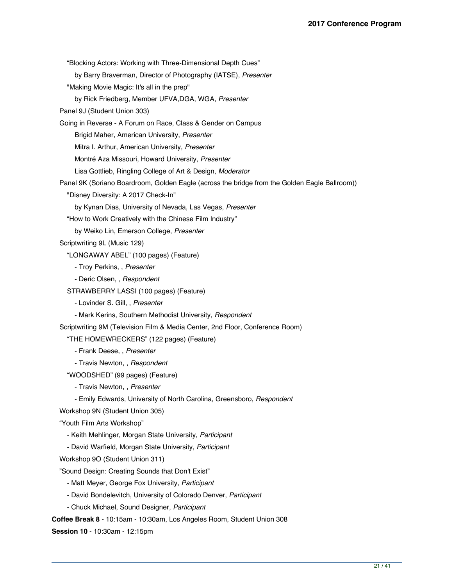"Blocking Actors: Working with Three-Dimensional Depth Cues"

by Barry Braverman, Director of Photography (IATSE), *Presenter*

"Making Movie Magic: It's all in the prep"

by Rick Friedberg, Member UFVA,DGA, WGA, *Presenter*

Panel 9J (Student Union 303)

Going in Reverse - A Forum on Race, Class & Gender on Campus

Brigid Maher, American University, *Presenter*

Mitra I. Arthur, American University, *Presenter*

Montré Aza Missouri, Howard University, *Presenter*

Lisa Gottlieb, Ringling College of Art & Design, *Moderator*

Panel 9K (Soriano Boardroom, Golden Eagle (across the bridge from the Golden Eagle Ballroom))

"Disney Diversity: A 2017 Check-In"

by Kynan Dias, University of Nevada, Las Vegas, *Presenter*

"How to Work Creatively with the Chinese Film Industry"

by Weiko Lin, Emerson College, *Presenter*

Scriptwriting 9L (Music 129)

"LONGAWAY ABEL" (100 pages) (Feature)

- Troy Perkins, , *Presenter*

- Deric Olsen, , *Respondent*

STRAWBERRY LASSI (100 pages) (Feature)

- Lovinder S. Gill, , *Presenter*

- Mark Kerins, Southern Methodist University, *Respondent*

Scriptwriting 9M (Television Film & Media Center, 2nd Floor, Conference Room)

"THE HOMEWRECKERS" (122 pages) (Feature)

- Frank Deese, , *Presenter*

- Travis Newton, , *Respondent*

"WOODSHED" (99 pages) (Feature)

- Travis Newton, , *Presenter*

- Emily Edwards, University of North Carolina, Greensboro, *Respondent*

Workshop 9N (Student Union 305)

"Youth Film Arts Workshop"

- Keith Mehlinger, Morgan State University, *Participant*

- David Warfield, Morgan State University, *Participant*

Workshop 9O (Student Union 311)

"Sound Design: Creating Sounds that Don't Exist"

- Matt Meyer, George Fox University, *Participant*

- David Bondelevitch, University of Colorado Denver, *Participant*

- Chuck Michael, Sound Designer, *Participant*

**Coffee Break 8** - 10:15am - 10:30am, Los Angeles Room, Student Union 308

**Session 10** - 10:30am - 12:15pm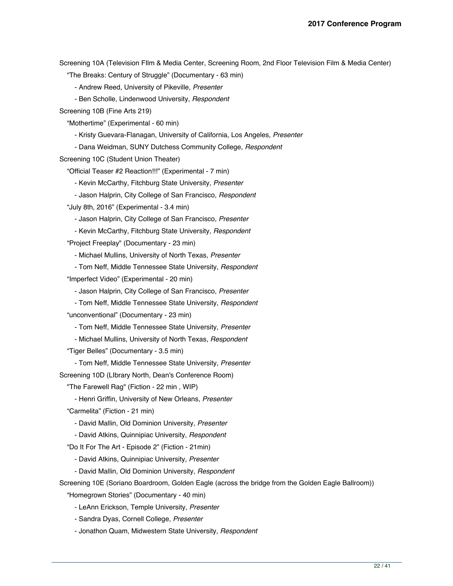Screening 10A (Television FIlm & Media Center, Screening Room, 2nd Floor Television Film & Media Center)

"The Breaks: Century of Struggle" (Documentary - 63 min)

- Andrew Reed, University of Pikeville, *Presenter*

- Ben Scholle, Lindenwood University, *Respondent*

Screening 10B (Fine Arts 219)

"Mothertime" (Experimental - 60 min)

- Kristy Guevara-Flanagan, University of California, Los Angeles, *Presenter*
- Dana Weidman, SUNY Dutchess Community College, *Respondent*

Screening 10C (Student Union Theater)

"Official Teaser #2 Reaction!!!" (Experimental - 7 min)

- Kevin McCarthy, Fitchburg State University, *Presenter*

- Jason Halprin, City College of San Francisco, *Respondent*

"July 8th, 2016" (Experimental - 3.4 min)

- Jason Halprin, City College of San Francisco, *Presenter*
- Kevin McCarthy, Fitchburg State University, *Respondent*

"Project Freeplay" (Documentary - 23 min)

- Michael Mullins, University of North Texas, *Presenter*

- Tom Neff, Middle Tennessee State University, *Respondent*

"Imperfect Video" (Experimental - 20 min)

- Jason Halprin, City College of San Francisco, *Presenter*

- Tom Neff, Middle Tennessee State University, *Respondent*

"unconventional" (Documentary - 23 min)

- Tom Neff, Middle Tennessee State University, *Presenter*

- Michael Mullins, University of North Texas, *Respondent*

"Tiger Belles" (Documentary - 3.5 min)

 - Tom Neff, Middle Tennessee State University, *Presenter* Screening 10D (LIbrary North, Dean's Conference Room)

"The Farewell Rag" (Fiction - 22 min , WIP)

- Henri Griffin, University of New Orleans, *Presenter*

"Carmelita" (Fiction - 21 min)

- David Mallin, Old Dominion University, *Presenter*

- David Atkins, Quinnipiac University, *Respondent*

"Do It For The Art - Episode 2" (Fiction - 21min)

- David Atkins, Quinnipiac University, *Presenter*

- David Mallin, Old Dominion University, *Respondent*

Screening 10E (Soriano Boardroom, Golden Eagle (across the bridge from the Golden Eagle Ballroom))

"Homegrown Stories" (Documentary - 40 min)

- LeAnn Erickson, Temple University, *Presenter*

- Sandra Dyas, Cornell College, *Presenter*

- Jonathon Quam, Midwestern State University, *Respondent*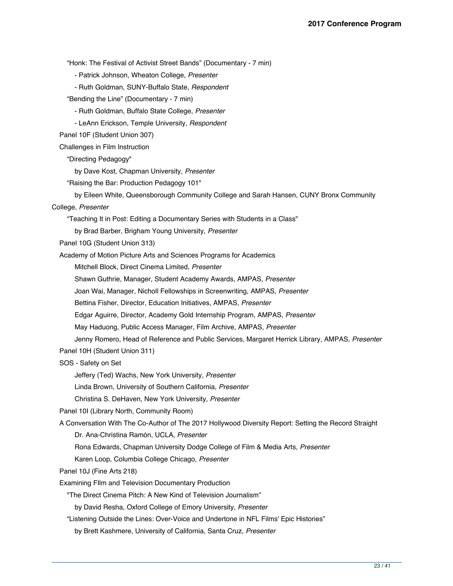"Honk: The Festival of Activist Street Bands" (Documentary - 7 min) - Patrick Johnson, Wheaton College, *Presenter* - Ruth Goldman, SUNY-Buffalo State, *Respondent* "Bending the Line" (Documentary - 7 min) - Ruth Goldman, Buffalo State College, *Presenter* - LeAnn Erickson, Temple University, *Respondent* Panel 10F (Student Union 307) Challenges in Film Instruction "Directing Pedagogy" by Dave Kost, Chapman University, *Presenter* "Raising the Bar: Production Pedagogy 101" by Eileen White, Queensborough Community College and Sarah Hansen, CUNY Bronx Community College, *Presenter* "Teaching It in Post: Editing a Documentary Series with Students in a Class" by Brad Barber, Brigham Young University, *Presenter* Panel 10G (Student Union 313) Academy of Motion Picture Arts and Sciences Programs for Academics Mitchell Block, Direct Cinema Limited, *Presenter* Shawn Guthrie, Manager, Student Academy Awards, AMPAS, *Presenter* Joan Wai, Manager, Nicholl Fellowships in Screenwriting, AMPAS, *Presenter* Bettina Fisher, Director, Education Initiatives, AMPAS, *Presenter* Edgar Aguirre, Director, Academy Gold Internship Program, AMPAS, *Presenter* May Haduong, Public Access Manager, Film Archive, AMPAS, *Presenter* Jenny Romero, Head of Reference and Public Services, Margaret Herrick Library, AMPAS, *Presenter* Panel 10H (Student Union 311) SOS - Safety on Set Jeffery (Ted) Wachs, New York University, *Presenter* Linda Brown, University of Southern California, *Presenter* Christina S. DeHaven, New York University, *Presenter* Panel 10I (Library North, Community Room) A Conversation With The Co-Author of The 2017 Hollywood Diversity Report: Setting the Record Straight Dr. Ana-Christina Ramón, UCLA, *Presenter* Rona Edwards, Chapman University Dodge College of Film & Media Arts, *Presenter* Karen Loop, Columbia College Chicago, *Presenter* Panel 10J (Fine Arts 218) Examining FIlm and Television Documentary Production "The Direct Cinema Pitch: A New Kind of Television Journalism" by David Resha, Oxford College of Emory University, *Presenter* "Listening Outside the Lines: Over-Voice and Undertone in NFL Films' Epic Histories" by Brett Kashmere, University of California, Santa Cruz, *Presenter*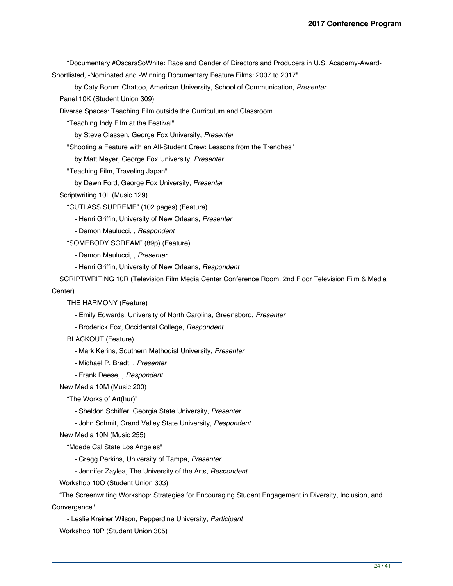"Documentary #OscarsSoWhite: Race and Gender of Directors and Producers in U.S. Academy-Award-

Shortlisted, -Nominated and -Winning Documentary Feature Films: 2007 to 2017"

by Caty Borum Chattoo, American University, School of Communication, *Presenter*

Panel 10K (Student Union 309)

Diverse Spaces: Teaching Film outside the Curriculum and Classroom

"Teaching Indy Film at the Festival"

by Steve Classen, George Fox University, *Presenter*

"Shooting a Feature with an All-Student Crew: Lessons from the Trenches"

by Matt Meyer, George Fox University, *Presenter*

"Teaching Film, Traveling Japan"

by Dawn Ford, George Fox University, *Presenter*

Scriptwriting 10L (Music 129)

"CUTLASS SUPREME" (102 pages) (Feature)

- Henri Griffin, University of New Orleans, *Presenter*
- Damon Maulucci, , *Respondent*

"SOMEBODY SCREAM" (89p) (Feature)

- Damon Maulucci, , *Presenter*

- Henri Griffin, University of New Orleans, *Respondent*

 SCRIPTWRITING 10R (Television Film Media Center Conference Room, 2nd Floor Television Film & Media Center)

THE HARMONY (Feature)

- Emily Edwards, University of North Carolina, Greensboro, *Presenter*

- Broderick Fox, Occidental College, *Respondent*

BLACKOUT (Feature)

- Mark Kerins, Southern Methodist University, *Presenter*

- Michael P. Bradt, , *Presenter*
- Frank Deese, , *Respondent*

New Media 10M (Music 200)

"The Works of Art(hur)"

- Sheldon Schiffer, Georgia State University, *Presenter*
- John Schmit, Grand Valley State University, *Respondent*

New Media 10N (Music 255)

"Moede Cal State Los Angeles"

- Gregg Perkins, University of Tampa, *Presenter*

- Jennifer Zaylea, The University of the Arts, *Respondent*

Workshop 10O (Student Union 303)

 "The Screenwriting Workshop: Strategies for Encouraging Student Engagement in Diversity, Inclusion, and Convergence"

- Leslie Kreiner Wilson, Pepperdine University, *Participant*

Workshop 10P (Student Union 305)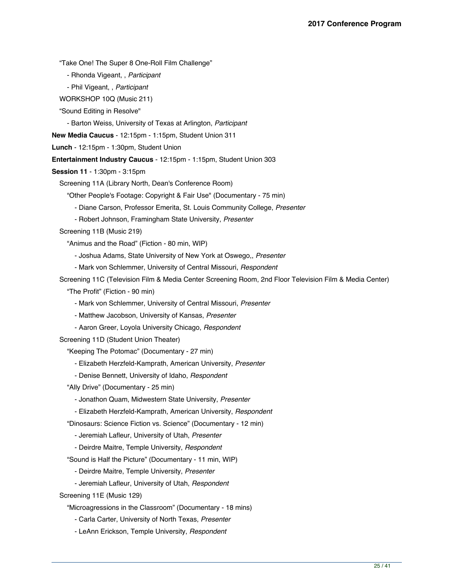"Take One! The Super 8 One-Roll Film Challenge"

- Rhonda Vigeant, , *Participant*

- Phil Vigeant, , *Participant*

WORKSHOP 10Q (Music 211)

"Sound Editing in Resolve"

- Barton Weiss, University of Texas at Arlington, *Participant*

**New Media Caucus** - 12:15pm - 1:15pm, Student Union 311

**Lunch** - 12:15pm - 1:30pm, Student Union

**Entertainment Industry Caucus** - 12:15pm - 1:15pm, Student Union 303

**Session 11** - 1:30pm - 3:15pm

Screening 11A (Library North, Dean's Conference Room)

"Other People's Footage: Copyright & Fair Use" (Documentary - 75 min)

- Diane Carson, Professor Emerita, St. Louis Community College, *Presenter*

- Robert Johnson, Framingham State University, *Presenter*

Screening 11B (Music 219)

"Animus and the Road" (Fiction - 80 min, WIP)

- Joshua Adams, State University of New York at Oswego,, *Presenter*

- Mark von Schlemmer, University of Central Missouri, *Respondent*

Screening 11C (Television Film & Media Center Screening Room, 2nd Floor Television Film & Media Center)

"The Profit" (Fiction - 90 min)

- Mark von Schlemmer, University of Central Missouri, *Presenter*

- Matthew Jacobson, University of Kansas, *Presenter*

- Aaron Greer, Loyola University Chicago, *Respondent*

Screening 11D (Student Union Theater)

"Keeping The Potomac" (Documentary - 27 min)

- Elizabeth Herzfeld-Kamprath, American University, *Presenter*

- Denise Bennett, University of Idaho, *Respondent*

"Ally Drive" (Documentary - 25 min)

- Jonathon Quam, Midwestern State University, *Presenter*

- Elizabeth Herzfeld-Kamprath, American University, *Respondent*

"Dinosaurs: Science Fiction vs. Science" (Documentary - 12 min)

- Jeremiah Lafleur, University of Utah, *Presenter*

- Deirdre Maitre, Temple University, *Respondent*

"Sound is Half the Picture" (Documentary - 11 min, WIP)

- Deirdre Maitre, Temple University, *Presenter*

- Jeremiah Lafleur, University of Utah, *Respondent*

Screening 11E (Music 129)

"Microagressions in the Classroom" (Documentary - 18 mins)

- Carla Carter, University of North Texas, *Presenter*

- LeAnn Erickson, Temple University, *Respondent*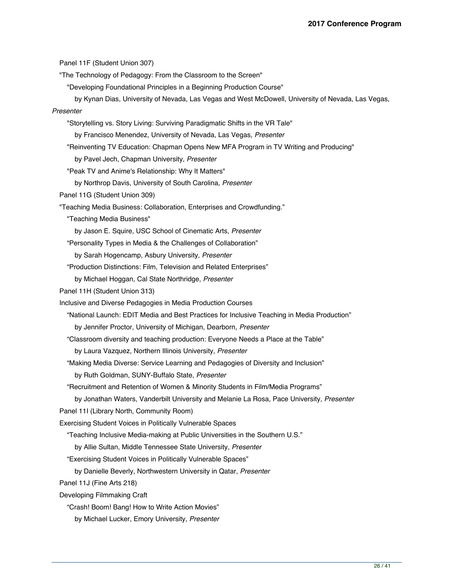Panel 11F (Student Union 307) "The Technology of Pedagogy: From the Classroom to the Screen" "Developing Foundational Principles in a Beginning Production Course" by Kynan Dias, University of Nevada, Las Vegas and West McDowell, University of Nevada, Las Vegas, *Presenter* "Storytelling vs. Story Living: Surviving Paradigmatic Shifts in the VR Tale" by Francisco Menendez, University of Nevada, Las Vegas, *Presenter* "Reinventing TV Education: Chapman Opens New MFA Program in TV Writing and Producing" by Pavel Jech, Chapman University, *Presenter* "Peak TV and Anime's Relationship: Why It Matters" by Northrop Davis, University of South Carolina, *Presenter* Panel 11G (Student Union 309) "Teaching Media Business: Collaboration, Enterprises and Crowdfunding." "Teaching Media Business" by Jason E. Squire, USC School of Cinematic Arts, *Presenter* "Personality Types in Media & the Challenges of Collaboration" by Sarah Hogencamp, Asbury University, *Presenter* "Production Distinctions: Film, Television and Related Enterprises" by Michael Hoggan, Cal State Northridge, *Presenter* Panel 11H (Student Union 313) Inclusive and Diverse Pedagogies in Media Production Courses "National Launch: EDIT Media and Best Practices for Inclusive Teaching in Media Production" by Jennifer Proctor, University of Michigan, Dearborn, *Presenter* "Classroom diversity and teaching production: Everyone Needs a Place at the Table" by Laura Vazquez, Northern Illinois University, *Presenter* "Making Media Diverse: Service Learning and Pedagogies of Diversity and Inclusion" by Ruth Goldman, SUNY-Buffalo State, *Presenter* "Recruitment and Retention of Women & Minority Students in Film/Media Programs" by Jonathan Waters, Vanderbilt University and Melanie La Rosa, Pace University, *Presenter* Panel 11I (Library North, Community Room) Exercising Student Voices in Politically Vulnerable Spaces "Teaching Inclusive Media-making at Public Universities in the Southern U.S." by Allie Sultan, Middle Tennessee State University, *Presenter* "Exercising Student Voices in Politically Vulnerable Spaces" by Danielle Beverly, Northwestern University in Qatar, *Presenter* Panel 11J (Fine Arts 218) Developing Filmmaking Craft "Crash! Boom! Bang! How to Write Action Movies" by Michael Lucker, Emory University, *Presenter*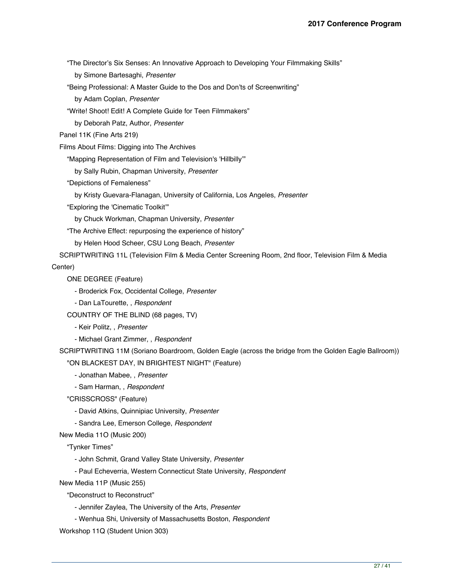"The Director's Six Senses: An Innovative Approach to Developing Your Filmmaking Skills"

by Simone Bartesaghi, *Presenter*

"Being Professional: A Master Guide to the Dos and Don'ts of Screenwriting"

by Adam Coplan, *Presenter*

"Write! Shoot! Edit! A Complete Guide for Teen Filmmakers"

by Deborah Patz, Author, *Presenter*

Panel 11K (Fine Arts 219)

Films About Films: Digging into The Archives

"Mapping Representation of Film and Television's 'Hillbilly'"

by Sally Rubin, Chapman University, *Presenter*

"Depictions of Femaleness"

by Kristy Guevara-Flanagan, University of California, Los Angeles, *Presenter*

"Exploring the 'Cinematic Toolkit'"

by Chuck Workman, Chapman University, *Presenter*

"The Archive Effect: repurposing the experience of history"

by Helen Hood Scheer, CSU Long Beach, *Presenter*

 SCRIPTWRITING 11L (Television Film & Media Center Screening Room, 2nd floor, Television Film & Media Center)

ONE DEGREE (Feature)

- Broderick Fox, Occidental College, *Presenter*

- Dan LaTourette, , *Respondent*

COUNTRY OF THE BLIND (68 pages, TV)

- Keir Politz, , *Presenter*

- Michael Grant Zimmer, , *Respondent*

 SCRIPTWRITING 11M (Soriano Boardroom, Golden Eagle (across the bridge from the Golden Eagle Ballroom)) "ON BLACKEST DAY, IN BRIGHTEST NIGHT" (Feature)

- Jonathan Mabee, , *Presenter*

- Sam Harman, , *Respondent*

"CRISSCROSS" (Feature)

- David Atkins, Quinnipiac University, *Presenter*

- Sandra Lee, Emerson College, *Respondent*

New Media 11O (Music 200)

"Tynker Times"

- John Schmit, Grand Valley State University, *Presenter*

- Paul Echeverria, Western Connecticut State University, *Respondent*

New Media 11P (Music 255)

"Deconstruct to Reconstruct"

- Jennifer Zaylea, The University of the Arts, *Presenter*

- Wenhua Shi, University of Massachusetts Boston, *Respondent*

Workshop 11Q (Student Union 303)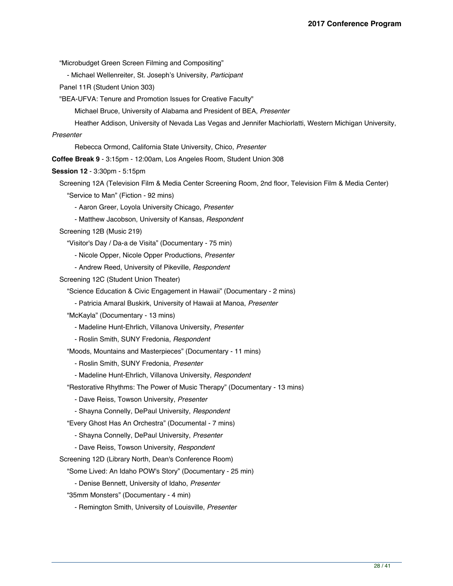"Microbudget Green Screen Filming and Compositing"

- Michael Wellenreiter, St. Joseph's University, *Participant*

Panel 11R (Student Union 303)

"BEA-UFVA: Tenure and Promotion Issues for Creative Faculty"

Michael Bruce, University of Alabama and President of BEA, *Presenter*

Heather Addison, University of Nevada Las Vegas and Jennifer Machiorlatti, Western Michigan University,

#### *Presenter*

Rebecca Ormond, California State University, Chico, *Presenter*

**Coffee Break 9** - 3:15pm - 12:00am, Los Angeles Room, Student Union 308

**Session 12** - 3:30pm - 5:15pm

 Screening 12A (Television Film & Media Center Screening Room, 2nd floor, Television Film & Media Center) "Service to Man" (Fiction - 92 mins)

- Aaron Greer, Loyola University Chicago, *Presenter*
- Matthew Jacobson, University of Kansas, *Respondent*

Screening 12B (Music 219)

"Visitor's Day / Da-a de Visita" (Documentary - 75 min)

- Nicole Opper, Nicole Opper Productions, *Presenter*

- Andrew Reed, University of Pikeville, *Respondent*

Screening 12C (Student Union Theater)

"Science Education & Civic Engagement in Hawaii" (Documentary - 2 mins)

- Patricia Amaral Buskirk, University of Hawaii at Manoa, *Presenter*

"McKayla" (Documentary - 13 mins)

- Madeline Hunt-Ehrlich, Villanova University, *Presenter*
- Roslin Smith, SUNY Fredonia, *Respondent*

"Moods, Mountains and Masterpieces" (Documentary - 11 mins)

- Roslin Smith, SUNY Fredonia, *Presenter*
- Madeline Hunt-Ehrlich, Villanova University, *Respondent*

"Restorative Rhythms: The Power of Music Therapy" (Documentary - 13 mins)

- Dave Reiss, Towson University, *Presenter*
- Shayna Connelly, DePaul University, *Respondent*

"Every Ghost Has An Orchestra" (Documental - 7 mins)

- Shayna Connelly, DePaul University, *Presenter*
- Dave Reiss, Towson University, *Respondent*

Screening 12D (Library North, Dean's Conference Room)

"Some Lived: An Idaho POW's Story" (Documentary - 25 min)

- Denise Bennett, University of Idaho, *Presenter*

"35mm Monsters" (Documentary - 4 min)

- Remington Smith, University of Louisville, *Presenter*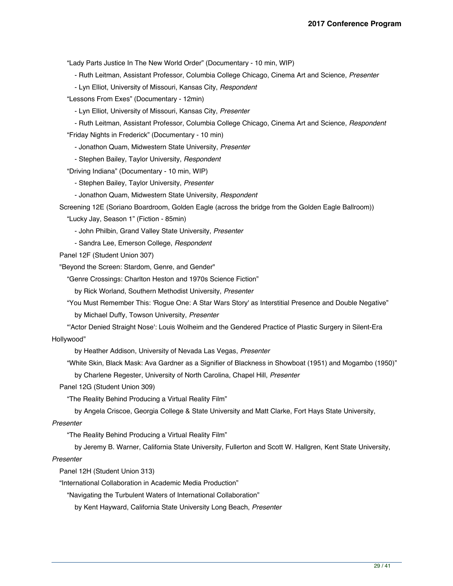"Lady Parts Justice In The New World Order" (Documentary - 10 min, WIP)

- Ruth Leitman, Assistant Professor, Columbia College Chicago, Cinema Art and Science, *Presenter*

- Lyn Elliot, University of Missouri, Kansas City, *Respondent*

"Lessons From Exes" (Documentary - 12min)

- Lyn Elliot, University of Missouri, Kansas City, *Presenter*

- Ruth Leitman, Assistant Professor, Columbia College Chicago, Cinema Art and Science, *Respondent*

"Friday Nights in Frederick" (Documentary - 10 min)

- Jonathon Quam, Midwestern State University, *Presenter*

- Stephen Bailey, Taylor University, *Respondent*

"Driving Indiana" (Documentary - 10 min, WIP)

- Stephen Bailey, Taylor University, *Presenter*

- Jonathon Quam, Midwestern State University, *Respondent*

Screening 12E (Soriano Boardroom, Golden Eagle (across the bridge from the Golden Eagle Ballroom))

"Lucky Jay, Season 1" (Fiction - 85min)

- John Philbin, Grand Valley State University, *Presenter*

- Sandra Lee, Emerson College, *Respondent*

Panel 12F (Student Union 307)

"Beyond the Screen: Stardom, Genre, and Gender"

"Genre Crossings: Charlton Heston and 1970s Science Fiction"

by Rick Worland, Southern Methodist University, *Presenter*

 "You Must Remember This: 'Rogue One: A Star Wars Story' as Interstitial Presence and Double Negative" by Michael Duffy, Towson University, *Presenter*

 "'Actor Denied Straight Nose': Louis Wolheim and the Gendered Practice of Plastic Surgery in Silent-Era Hollywood"

by Heather Addison, University of Nevada Las Vegas, *Presenter*

"White Skin, Black Mask: Ava Gardner as a Signifier of Blackness in Showboat (1951) and Mogambo (1950)"

by Charlene Regester, University of North Carolina, Chapel Hill, *Presenter*

Panel 12G (Student Union 309)

"The Reality Behind Producing a Virtual Reality Film"

by Angela Criscoe, Georgia College & State University and Matt Clarke, Fort Hays State University,

*Presenter*

"The Reality Behind Producing a Virtual Reality Film"

by Jeremy B. Warner, California State University, Fullerton and Scott W. Hallgren, Kent State University,

#### *Presenter*

Panel 12H (Student Union 313)

"International Collaboration in Academic Media Production"

"Navigating the Turbulent Waters of International Collaboration"

by Kent Hayward, California State University Long Beach, *Presenter*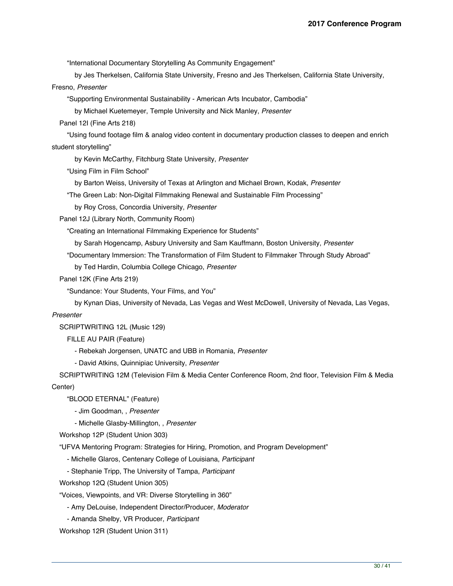"International Documentary Storytelling As Community Engagement"

 by Jes Therkelsen, California State University, Fresno and Jes Therkelsen, California State University, Fresno, *Presenter*

"Supporting Environmental Sustainability - American Arts Incubator, Cambodia"

by Michael Kuetemeyer, Temple University and Nick Manley, *Presenter*

Panel 12I (Fine Arts 218)

 "Using found footage film & analog video content in documentary production classes to deepen and enrich student storytelling"

by Kevin McCarthy, Fitchburg State University, *Presenter*

"Using Film in Film School"

by Barton Weiss, University of Texas at Arlington and Michael Brown, Kodak, *Presenter*

"The Green Lab: Non-Digital Filmmaking Renewal and Sustainable Film Processing"

by Roy Cross, Concordia University, *Presenter*

Panel 12J (Library North, Community Room)

"Creating an International Filmmaking Experience for Students"

by Sarah Hogencamp, Asbury University and Sam Kauffmann, Boston University, *Presenter*

"Documentary Immersion: The Transformation of Film Student to Filmmaker Through Study Abroad"

by Ted Hardin, Columbia College Chicago, *Presenter*

Panel 12K (Fine Arts 219)

"Sundance: Your Students, Your Films, and You"

by Kynan Dias, University of Nevada, Las Vegas and West McDowell, University of Nevada, Las Vegas,

*Presenter*

SCRIPTWRITING 12L (Music 129)

FILLE AU PAIR (Feature)

- Rebekah Jorgensen, UNATC and UBB in Romania, *Presenter*

- David Atkins, Quinnipiac University, *Presenter*

 SCRIPTWRITING 12M (Television Film & Media Center Conference Room, 2nd floor, Television Film & Media Center)

"BLOOD ETERNAL" (Feature)

- Jim Goodman, , *Presenter*

- Michelle Glasby-Millington, , *Presenter*

Workshop 12P (Student Union 303)

"UFVA Mentoring Program: Strategies for Hiring, Promotion, and Program Development"

- Michelle Glaros, Centenary College of Louisiana, *Participant*

- Stephanie Tripp, The University of Tampa, *Participant*

Workshop 12Q (Student Union 305)

"Voices, Viewpoints, and VR: Diverse Storytelling in 360"

- Amy DeLouise, Independent Director/Producer, *Moderator*

- Amanda Shelby, VR Producer, *Participant*

Workshop 12R (Student Union 311)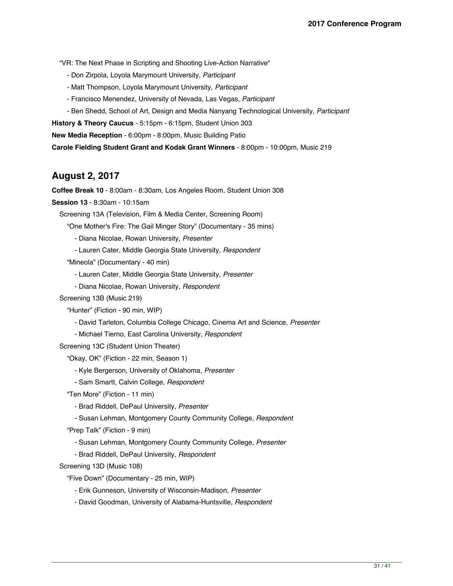"VR: The Next Phase in Scripting and Shooting Live-Action Narrative"

- Don Zirpola, Loyola Marymount University, *Participant*
- Matt Thompson, Loyola Marymount University, *Participant*
- Francisco Menendez, University of Nevada, Las Vegas, *Participant*
- Ben Shedd, School of Art, Design and Media Nanyang Technological University, *Participant*

**History & Theory Caucus** - 5:15pm - 6:15pm, Student Union 303

**New Media Reception** - 6:00pm - 8:00pm, Music Building Patio

**Carole Fielding Student Grant and Kodak Grant Winners** - 8:00pm - 10:00pm, Music 219

## **August 2, 2017**

**Coffee Break 10** - 8:00am - 8:30am, Los Angeles Room, Student Union 308

**Session 13** - 8:30am - 10:15am

Screening 13A (Television, Film & Media Center, Screening Room)

"One Mother's Fire: The Gail Minger Story" (Documentary - 35 mins)

- Diana Nicolae, Rowan University, *Presenter*

- Lauren Cater, Middle Georgia State University, *Respondent*

"Mineola" (Documentary - 40 min)

- Lauren Cater, Middle Georgia State University, *Presenter*
- Diana Nicolae, Rowan University, *Respondent*

Screening 13B (Music 219)

"Hunter" (Fiction - 90 min, WIP)

- David Tarleton, Columbia College Chicago, Cinema Art and Science, *Presenter*
- Michael Tierno, East Carolina University, *Respondent*

Screening 13C (Student Union Theater)

"Okay, OK" (Fiction - 22 min, Season 1)

- Kyle Bergerson, University of Oklahoma, *Presenter*
- Sam Smartt, Calvin College, *Respondent*

"Ten More" (Fiction - 11 min)

- Brad Riddell, DePaul University, *Presenter*
- Susan Lehman, Montgomery County Community College, *Respondent*

"Prep Talk" (Fiction - 9 min)

- Susan Lehman, Montgomery County Community College, *Presenter*
- Brad Riddell, DePaul University, *Respondent*

Screening 13D (Music 108)

"Five Down" (Documentary - 25 min, WIP)

- Erik Gunneson, University of Wisconsin-Madison, *Presenter*
- David Goodman, University of Alabama-Huntsville, *Respondent*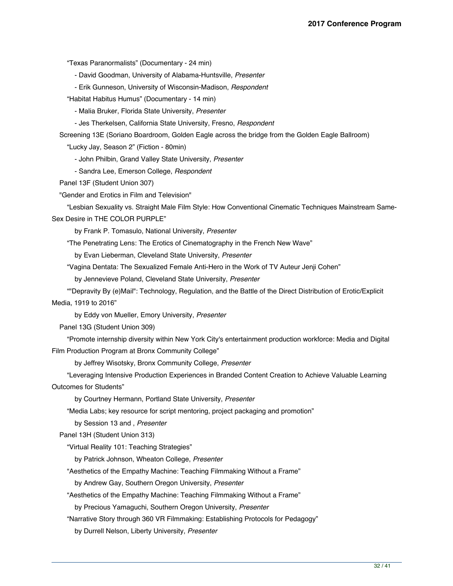"Texas Paranormalists" (Documentary - 24 min)

- David Goodman, University of Alabama-Huntsville, *Presenter*

- Erik Gunneson, University of Wisconsin-Madison, *Respondent*

"Habitat Habitus Humus" (Documentary - 14 min)

- Malia Bruker, Florida State University, *Presenter*

- Jes Therkelsen, California State University, Fresno, *Respondent*

Screening 13E (Soriano Boardroom, Golden Eagle across the bridge from the Golden Eagle Ballroom)

"Lucky Jay, Season 2" (Fiction - 80min)

- John Philbin, Grand Valley State University, *Presenter*

- Sandra Lee, Emerson College, *Respondent*

Panel 13F (Student Union 307)

"Gender and Erotics in Film and Television"

 "Lesbian Sexuality vs. Straight Male Film Style: How Conventional Cinematic Techniques Mainstream Same-Sex Desire in THE COLOR PURPLE"

by Frank P. Tomasulo, National University, *Presenter*

"The Penetrating Lens: The Erotics of Cinematography in the French New Wave"

by Evan Lieberman, Cleveland State University, *Presenter*

"Vagina Dentata: The Sexualized Female Anti-Hero in the Work of TV Auteur Jenji Cohen"

by Jennevieve Poland, Cleveland State University, *Presenter*

 ""Depravity By (e)Mail": Technology, Regulation, and the Battle of the Direct Distribution of Erotic/Explicit Media, 1919 to 2016"

by Eddy von Mueller, Emory University, *Presenter*

Panel 13G (Student Union 309)

 "Promote internship diversity within New York City's entertainment production workforce: Media and Digital Film Production Program at Bronx Community College"

by Jeffrey Wisotsky, Bronx Community College, *Presenter*

 "Leveraging Intensive Production Experiences in Branded Content Creation to Achieve Valuable Learning Outcomes for Students"

by Courtney Hermann, Portland State University, *Presenter*

"Media Labs; key resource for script mentoring, project packaging and promotion"

by Session 13 and , *Presenter*

Panel 13H (Student Union 313)

"Virtual Reality 101: Teaching Strategies"

by Patrick Johnson, Wheaton College, *Presenter*

"Aesthetics of the Empathy Machine: Teaching Filmmaking Without a Frame"

by Andrew Gay, Southern Oregon University, *Presenter*

"Aesthetics of the Empathy Machine: Teaching Filmmaking Without a Frame"

by Precious Yamaguchi, Southern Oregon University, *Presenter*

"Narrative Story through 360 VR Filmmaking: Establishing Protocols for Pedagogy"

by Durrell Nelson, Liberty University, *Presenter*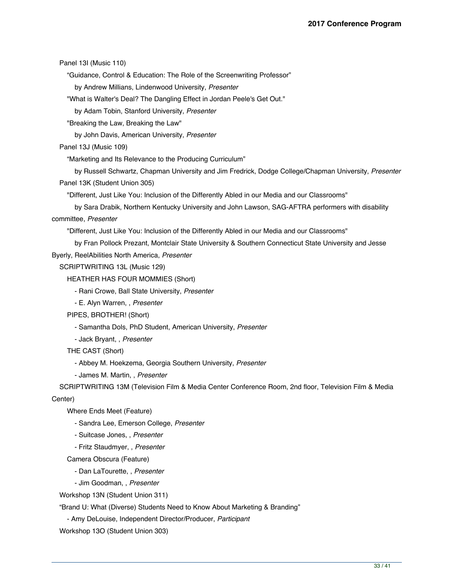Panel 13I (Music 110)

"Guidance, Control & Education: The Role of the Screenwriting Professor"

by Andrew Millians, Lindenwood University, *Presenter*

"What is Walter's Deal? The Dangling Effect in Jordan Peele's Get Out."

by Adam Tobin, Stanford University, *Presenter*

"Breaking the Law, Breaking the Law"

by John Davis, American University, *Presenter*

Panel 13J (Music 109)

"Marketing and Its Relevance to the Producing Curriculum"

 by Russell Schwartz, Chapman University and Jim Fredrick, Dodge College/Chapman University, *Presenter* Panel 13K (Student Union 305)

"Different, Just Like You: Inclusion of the Differently Abled in our Media and our Classrooms"

 by Sara Drabik, Northern Kentucky University and John Lawson, SAG-AFTRA performers with disability committee, *Presenter*

"Different, Just Like You: Inclusion of the Differently Abled in our Media and our Classrooms"

by Fran Pollock Prezant, Montclair State University & Southern Connecticut State University and Jesse

Byerly, ReelAbilities North America, *Presenter*

SCRIPTWRITING 13L (Music 129)

HEATHER HAS FOUR MOMMIES (Short)

- Rani Crowe, Ball State University, *Presenter*

- E. Alyn Warren, , *Presenter*

PIPES, BROTHER! (Short)

- Samantha Dols, PhD Student, American University, *Presenter*

- Jack Bryant, , *Presenter*

THE CAST (Short)

- Abbey M. Hoekzema, Georgia Southern University, *Presenter*

- James M. Martin, , *Presenter*

SCRIPTWRITING 13M (Television Film & Media Center Conference Room, 2nd floor, Television Film & Media

Center)

Where Ends Meet (Feature)

- Sandra Lee, Emerson College, *Presenter*

- Suitcase Jones, , *Presenter*

- Fritz Staudmyer, , *Presenter*

Camera Obscura (Feature)

- Dan LaTourette, , *Presenter*

- Jim Goodman, , *Presenter*

Workshop 13N (Student Union 311)

"Brand U: What (Diverse) Students Need to Know About Marketing & Branding"

- Amy DeLouise, Independent Director/Producer, *Participant*

Workshop 13O (Student Union 303)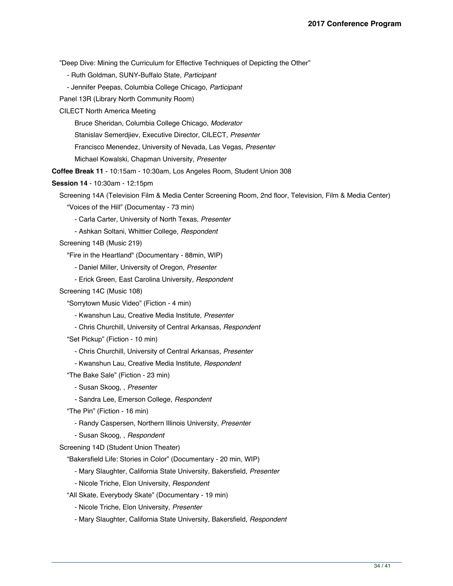"Deep Dive: Mining the Curriculum for Effective Techniques of Depicting the Other"

- Ruth Goldman, SUNY-Buffalo State, *Participant*
- Jennifer Peepas, Columbia College Chicago, *Participant*

Panel 13R (Library North Community Room)

CILECT North America Meeting

Bruce Sheridan, Columbia College Chicago, *Moderator*

Stanislav Semerdjiev, Executive Director, CILECT, *Presenter*

Francisco Menendez, University of Nevada, Las Vegas, *Presenter*

Michael Kowalski, Chapman University, *Presenter*

**Coffee Break 11** - 10:15am - 10:30am, Los Angeles Room, Student Union 308

#### **Session 14** - 10:30am - 12:15pm

Screening 14A (Television Film & Media Center Screening Room, 2nd floor, Television, Film & Media Center)

"Voices of the Hill" (Documentay - 73 min)

- Carla Carter, University of North Texas, *Presenter*
- Ashkan Soltani, Whittier College, *Respondent*

Screening 14B (Music 219)

"Fire in the Heartland" (Documentary - 88min, WIP)

- Daniel Miller, University of Oregon, *Presenter*
- Erick Green, East Carolina University, *Respondent*
- Screening 14C (Music 108)

"Sorrytown Music Video" (Fiction - 4 min)

- Kwanshun Lau, Creative Media Institute, *Presenter*
- Chris Churchill, University of Central Arkansas, *Respondent*

"Set Pickup" (Fiction - 10 min)

- Chris Churchill, University of Central Arkansas, *Presenter*
- Kwanshun Lau, Creative Media Institute, *Respondent*

"The Bake Sale" (Fiction - 23 min)

- Susan Skoog, , *Presenter*
- Sandra Lee, Emerson College, *Respondent*

"The Pin" (Fiction - 16 min)

- Randy Caspersen, Northern Illinois University, *Presenter*

- Susan Skoog, , *Respondent*

Screening 14D (Student Union Theater)

"Bakersfield Life: Stories in Color" (Documentary - 20 min, WIP)

- Mary Slaughter, California State University, Bakersfield, *Presenter*
- Nicole Triche, Elon University, *Respondent*
- "All Skate, Everybody Skate" (Documentary 19 min)
	- Nicole Triche, Elon University, *Presenter*
	- Mary Slaughter, California State University, Bakersfield, *Respondent*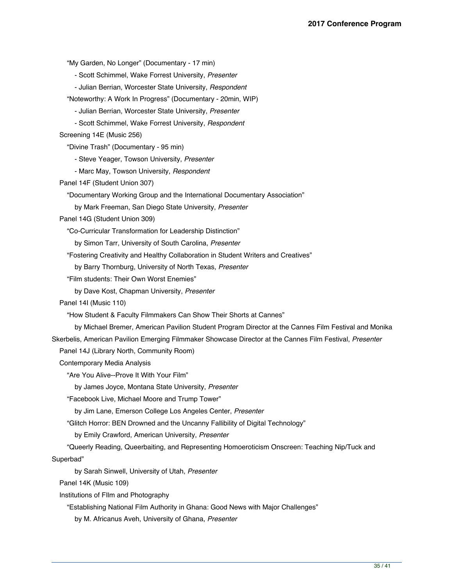"My Garden, No Longer" (Documentary - 17 min)

- Scott Schimmel, Wake Forrest University, *Presenter*
- Julian Berrian, Worcester State University, *Respondent*

"Noteworthy: A Work In Progress" (Documentary - 20min, WIP)

- Julian Berrian, Worcester State University, *Presenter*

- Scott Schimmel, Wake Forrest University, *Respondent*

Screening 14E (Music 256)

"Divine Trash" (Documentary - 95 min)

- Steve Yeager, Towson University, *Presenter*

- Marc May, Towson University, *Respondent*

Panel 14F (Student Union 307)

"Documentary Working Group and the International Documentary Association"

by Mark Freeman, San Diego State University, *Presenter*

Panel 14G (Student Union 309)

"Co-Curricular Transformation for Leadership Distinction"

by Simon Tarr, University of South Carolina, *Presenter*

"Fostering Creativity and Healthy Collaboration in Student Writers and Creatives"

by Barry Thornburg, University of North Texas, *Presenter*

"Film students: Their Own Worst Enemies"

by Dave Kost, Chapman University, *Presenter*

Panel 14I (Music 110)

"How Student & Faculty Filmmakers Can Show Their Shorts at Cannes"

by Michael Bremer, American Pavilion Student Program Director at the Cannes Film Festival and Monika

Skerbelis, American Pavilion Emerging Filmmaker Showcase Director at the Cannes Film Festival, *Presenter*

Panel 14J (Library North, Community Room)

Contemporary Media Analysis

"Are You Alive--Prove It With Your Film"

by James Joyce, Montana State University, *Presenter*

"Facebook Live, Michael Moore and Trump Tower"

by Jim Lane, Emerson College Los Angeles Center, *Presenter*

"Glitch Horror: BEN Drowned and the Uncanny Fallibility of Digital Technology"

by Emily Crawford, American University, *Presenter*

"Queerly Reading, Queerbaiting, and Representing Homoeroticism Onscreen: Teaching Nip/Tuck and

Superbad"

by Sarah Sinwell, University of Utah, *Presenter*

Panel 14K (Music 109)

Institutions of FIlm and Photography

"Establishing National Film Authority in Ghana: Good News with Major Challenges"

by M. Africanus Aveh, University of Ghana, *Presenter*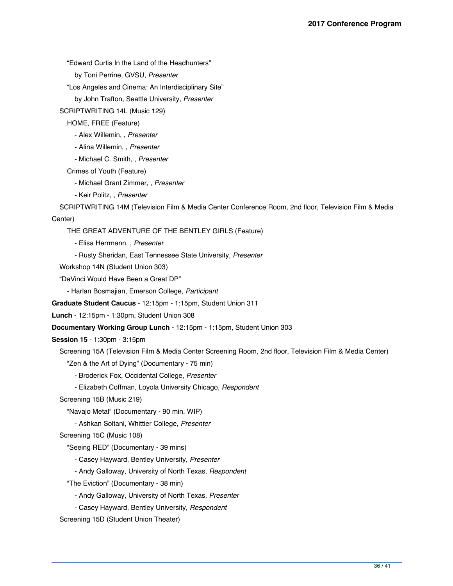"Edward Curtis In the Land of the Headhunters"

by Toni Perrine, GVSU, *Presenter*

"Los Angeles and Cinema: An Interdisciplinary Site"

by John Trafton, Seattle University, *Presenter*

SCRIPTWRITING 14L (Music 129)

HOME, FREE (Feature)

- Alex Willemin, , *Presenter*

- Alina Willemin, , *Presenter*
- Michael C. Smith, , *Presenter*

Crimes of Youth (Feature)

- Michael Grant Zimmer, , *Presenter*
- Keir Politz, , *Presenter*

 SCRIPTWRITING 14M (Television Film & Media Center Conference Room, 2nd floor, Television Film & Media Center)

THE GREAT ADVENTURE OF THE BENTLEY GIRLS (Feature)

- Elisa Herrmann, , *Presenter*

- Rusty Sheridan, East Tennessee State University, *Presenter*

Workshop 14N (Student Union 303)

"DaVinci Would Have Been a Great DP"

- Harlan Bosmajian, Emerson College, *Participant*

**Graduate Student Caucus** - 12:15pm - 1:15pm, Student Union 311

**Lunch** - 12:15pm - 1:30pm, Student Union 308

**Documentary Working Group Lunch** - 12:15pm - 1:15pm, Student Union 303

**Session 15** - 1:30pm - 3:15pm

 Screening 15A (Television Film & Media Center Screening Room, 2nd floor, Television Film & Media Center) "Zen & the Art of Dying" (Documentary - 75 min)

- Broderick Fox, Occidental College, *Presenter*

- Elizabeth Coffman, Loyola University Chicago, *Respondent*

Screening 15B (Music 219)

"Navajo Metal" (Documentary - 90 min, WIP)

- Ashkan Soltani, Whittier College, *Presenter*

Screening 15C (Music 108)

"Seeing RED" (Documentary - 39 mins)

- Casey Hayward, Bentley University, *Presenter*

- Andy Galloway, University of North Texas, *Respondent*

"The Eviction" (Documentary - 38 min)

- Andy Galloway, University of North Texas, *Presenter*

- Casey Hayward, Bentley University, *Respondent*

Screening 15D (Student Union Theater)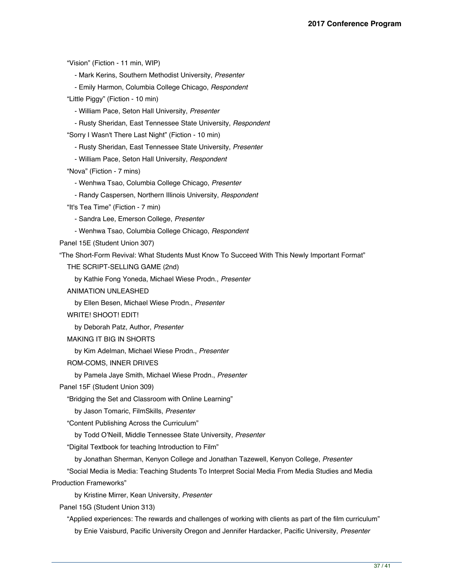"Vision" (Fiction - 11 min, WIP)

- Mark Kerins, Southern Methodist University, *Presenter*
- Emily Harmon, Columbia College Chicago, *Respondent*

"Little Piggy" (Fiction - 10 min)

- William Pace, Seton Hall University, *Presenter*
- Rusty Sheridan, East Tennessee State University, *Respondent*

"Sorry I Wasn't There Last Night" (Fiction - 10 min)

- Rusty Sheridan, East Tennessee State University, *Presenter*
- William Pace, Seton Hall University, *Respondent*

"Nova" (Fiction - 7 mins)

- Wenhwa Tsao, Columbia College Chicago, *Presenter*

- Randy Caspersen, Northern Illinois University, *Respondent*

"It's Tea Time" (Fiction - 7 min)

- Sandra Lee, Emerson College, *Presenter*
- Wenhwa Tsao, Columbia College Chicago, *Respondent*
- Panel 15E (Student Union 307)

"The Short-Form Revival: What Students Must Know To Succeed With This Newly Important Format"

THE SCRIPT-SELLING GAME (2nd)

by Kathie Fong Yoneda, Michael Wiese Prodn., *Presenter*

ANIMATION UNLEASHED

by Ellen Besen, Michael Wiese Prodn., *Presenter*

WRITE! SHOOT! EDIT!

by Deborah Patz, Author, *Presenter*

MAKING IT BIG IN SHORTS

by Kim Adelman, Michael Wiese Prodn., *Presenter*

ROM-COMS, INNER DRIVES

by Pamela Jaye Smith, Michael Wiese Prodn., *Presenter*

Panel 15F (Student Union 309)

"Bridging the Set and Classroom with Online Learning"

by Jason Tomaric, FilmSkills, *Presenter*

"Content Publishing Across the Curriculum"

by Todd O'Neill, Middle Tennessee State University, *Presenter*

"Digital Textbook for teaching Introduction to Film"

by Jonathan Sherman, Kenyon College and Jonathan Tazewell, Kenyon College, *Presenter*

 "Social Media is Media: Teaching Students To Interpret Social Media From Media Studies and Media Production Frameworks"

by Kristine Mirrer, Kean University, *Presenter*

Panel 15G (Student Union 313)

 "Applied experiences: The rewards and challenges of working with clients as part of the film curriculum" by Enie Vaisburd, Pacific University Oregon and Jennifer Hardacker, Pacific University, *Presenter*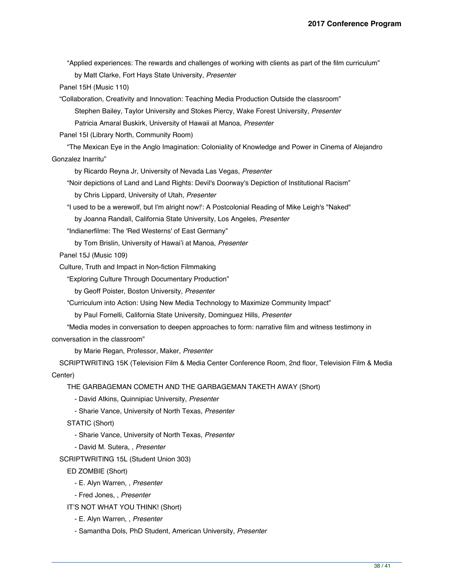"Applied experiences: The rewards and challenges of working with clients as part of the film curriculum"

by Matt Clarke, Fort Hays State University, *Presenter*

Panel 15H (Music 110)

"Collaboration, Creativity and Innovation: Teaching Media Production Outside the classroom"

Stephen Bailey, Taylor University and Stokes Piercy, Wake Forest University, *Presenter*

Patricia Amaral Buskirk, University of Hawaii at Manoa, *Presenter*

Panel 15I (Library North, Community Room)

 "The Mexican Eye in the Anglo Imagination: Coloniality of Knowledge and Power in Cinema of Alejandro Gonzalez Inarritu"

by Ricardo Reyna Jr, University of Nevada Las Vegas, *Presenter*

"Noir depictions of Land and Land Rights: Devil's Doorway's Depiction of Institutional Racism"

by Chris Lippard, University of Utah, *Presenter*

 "I used to be a werewolf, but I'm alright now!': A Postcolonial Reading of Mike Leigh's "Naked" by Joanna Randall, California State University, Los Angeles, *Presenter*

"Indianerfilme: The 'Red Westerns' of East Germany"

by Tom Brislin, University of Hawai'i at Manoa, *Presenter*

Panel 15J (Music 109)

Culture, Truth and Impact in Non-fiction Filmmaking

"Exploring Culture Through Documentary Production"

by Geoff Poister, Boston University, *Presenter*

"Curriculum into Action: Using New Media Technology to Maximize Community Impact"

by Paul Fornelli, California State University, Dominguez Hills, *Presenter*

 "Media modes in conversation to deepen approaches to form: narrative film and witness testimony in conversation in the classroom"

by Marie Regan, Professor, Maker, *Presenter*

 SCRIPTWRITING 15K (Television Film & Media Center Conference Room, 2nd floor, Television Film & Media Center)

THE GARBAGEMAN COMETH AND THE GARBAGEMAN TAKETH AWAY (Short)

- David Atkins, Quinnipiac University, *Presenter*

- Sharie Vance, University of North Texas, *Presenter*

STATIC (Short)

- Sharie Vance, University of North Texas, *Presenter*

- David M. Sutera, , *Presenter*

SCRIPTWRITING 15L (Student Union 303)

ED ZOMBIE (Short)

- E. Alyn Warren, , *Presenter*

- Fred Jones, , *Presenter*

IT'S NOT WHAT YOU THINK! (Short)

- E. Alyn Warren, , *Presenter*

- Samantha Dols, PhD Student, American University, *Presenter*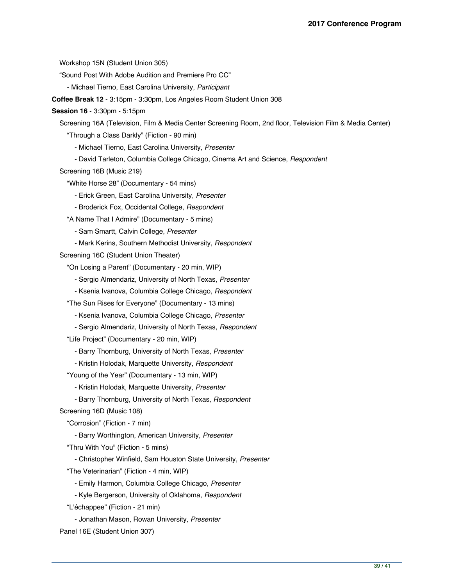Workshop 15N (Student Union 305)

"Sound Post With Adobe Audition and Premiere Pro CC"

- Michael Tierno, East Carolina University, *Participant*

**Coffee Break 12** - 3:15pm - 3:30pm, Los Angeles Room Student Union 308

#### **Session 16** - 3:30pm - 5:15pm

Screening 16A (Television, Film & Media Center Screening Room, 2nd floor, Television Film & Media Center)

"Through a Class Darkly" (Fiction - 90 min)

- Michael Tierno, East Carolina University, *Presenter*

- David Tarleton, Columbia College Chicago, Cinema Art and Science, *Respondent*

Screening 16B (Music 219)

"White Horse 28" (Documentary - 54 mins)

- Erick Green, East Carolina University, *Presenter*
- Broderick Fox, Occidental College, *Respondent*
- "A Name That I Admire" (Documentary 5 mins)
	- Sam Smartt, Calvin College, *Presenter*
- Mark Kerins, Southern Methodist University, *Respondent*

Screening 16C (Student Union Theater)

"On Losing a Parent" (Documentary - 20 min, WIP)

- Sergio Almendariz, University of North Texas, *Presenter*
- Ksenia Ivanova, Columbia College Chicago, *Respondent*

"The Sun Rises for Everyone" (Documentary - 13 mins)

- Ksenia Ivanova, Columbia College Chicago, *Presenter*
- Sergio Almendariz, University of North Texas, *Respondent*

"Life Project" (Documentary - 20 min, WIP)

- Barry Thornburg, University of North Texas, *Presenter*
- Kristin Holodak, Marquette University, *Respondent*

"Young of the Year" (Documentary - 13 min, WIP)

- Kristin Holodak, Marquette University, *Presenter*
- Barry Thornburg, University of North Texas, *Respondent*

Screening 16D (Music 108)

"Corrosion" (Fiction - 7 min)

- Barry Worthington, American University, *Presenter*

"Thru With You" (Fiction - 5 mins)

- Christopher Winfield, Sam Houston State University, *Presenter*

"The Veterinarian" (Fiction - 4 min, WIP)

- Emily Harmon, Columbia College Chicago, *Presenter*

- Kyle Bergerson, University of Oklahoma, *Respondent*

"L'échappee" (Fiction - 21 min)

- Jonathan Mason, Rowan University, *Presenter*

Panel 16E (Student Union 307)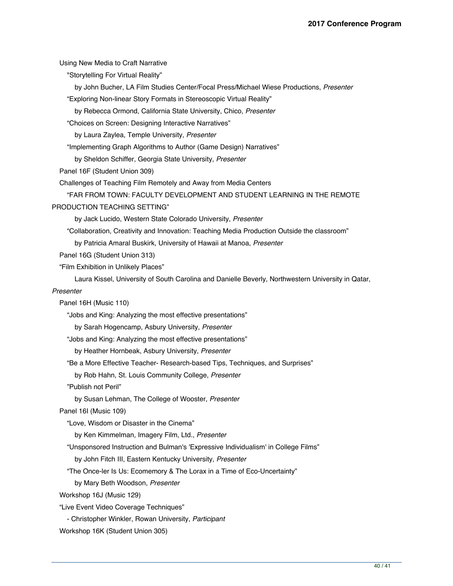Using New Media to Craft Narrative "Storytelling For Virtual Reality" by John Bucher, LA Film Studies Center/Focal Press/Michael Wiese Productions, *Presenter* "Exploring Non-linear Story Formats in Stereoscopic Virtual Reality" by Rebecca Ormond, California State University, Chico, *Presenter* "Choices on Screen: Designing Interactive Narratives" by Laura Zaylea, Temple University, *Presenter* "Implementing Graph Algorithms to Author (Game Design) Narratives" by Sheldon Schiffer, Georgia State University, *Presenter* Panel 16F (Student Union 309) Challenges of Teaching Film Remotely and Away from Media Centers "FAR FROM TOWN: FACULTY DEVELOPMENT AND STUDENT LEARNING IN THE REMOTE PRODUCTION TEACHING SETTING" by Jack Lucido, Western State Colorado University, *Presenter* "Collaboration, Creativity and Innovation: Teaching Media Production Outside the classroom" by Patricia Amaral Buskirk, University of Hawaii at Manoa, *Presenter* Panel 16G (Student Union 313) "Film Exhibition in Unlikely Places" Laura Kissel, University of South Carolina and Danielle Beverly, Northwestern University in Qatar, *Presenter* Panel 16H (Music 110) "Jobs and King: Analyzing the most effective presentations" by Sarah Hogencamp, Asbury University, *Presenter* "Jobs and King: Analyzing the most effective presentations" by Heather Hornbeak, Asbury University, *Presenter* "Be a More Effective Teacher- Research-based Tips, Techniques, and Surprises" by Rob Hahn, St. Louis Community College, *Presenter* "Publish not Peril" by Susan Lehman, The College of Wooster, *Presenter* Panel 16I (Music 109) "Love, Wisdom or Disaster in the Cinema" by Ken Kimmelman, Imagery Film, Ltd., *Presenter* "Unsponsored Instruction and Bulman's 'Expressive Individualism' in College Films" by John Fitch III, Eastern Kentucky University, *Presenter* "The Once-ler Is Us: Ecomemory & The Lorax in a Time of Eco-Uncertainty" by Mary Beth Woodson, *Presenter* Workshop 16J (Music 129) "Live Event Video Coverage Techniques"

- Christopher Winkler, Rowan University, *Participant*

Workshop 16K (Student Union 305)